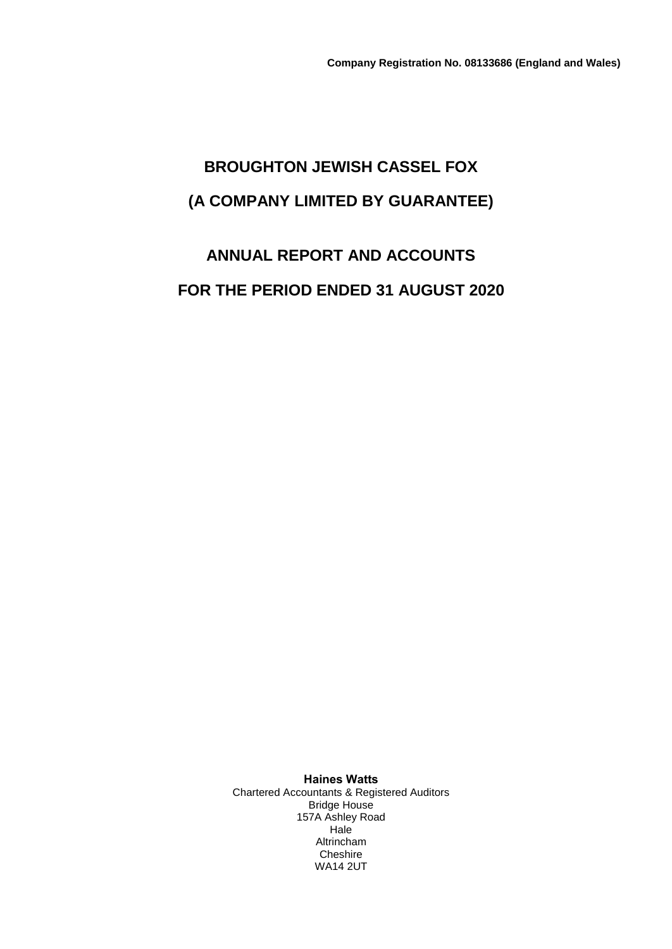# **BROUGHTON JEWISH CASSEL FOX (A COMPANY LIMITED BY GUARANTEE)**

# **ANNUAL REPORT AND ACCOUNTS FOR THE PERIOD ENDED 31 AUGUST 2020**

**Haines Watts** Chartered Accountants & Registered Auditors Bridge House 157A Ashley Road **Hale** Altrincham Cheshire WA14 2UT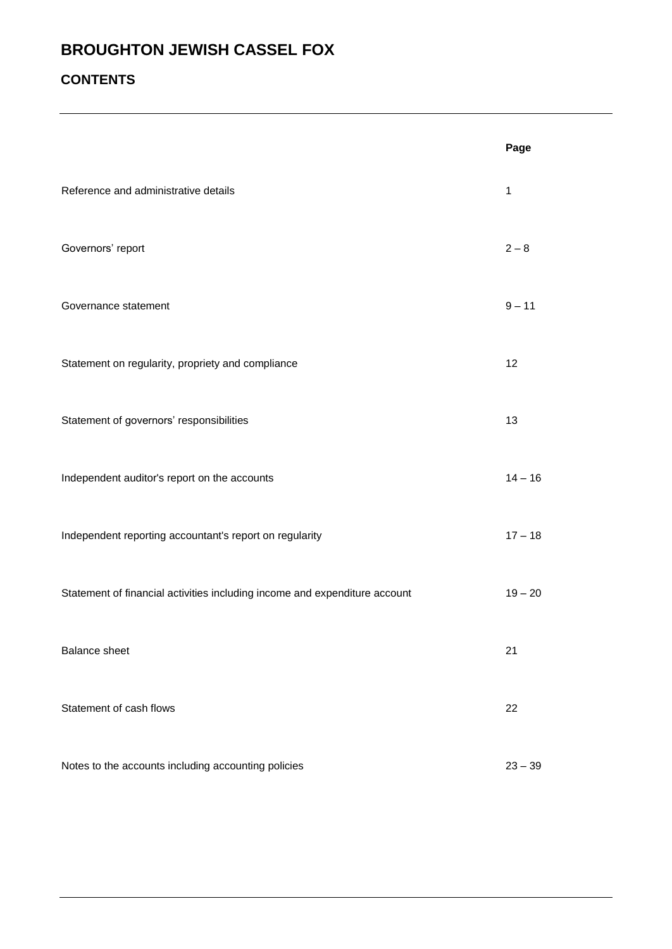## **CONTENTS**

|                                                                            | Page         |
|----------------------------------------------------------------------------|--------------|
| Reference and administrative details                                       | $\mathbf{1}$ |
| Governors' report                                                          | $2 - 8$      |
| Governance statement                                                       | $9 - 11$     |
| Statement on regularity, propriety and compliance                          | 12           |
| Statement of governors' responsibilities                                   | 13           |
| Independent auditor's report on the accounts                               | $14 - 16$    |
| Independent reporting accountant's report on regularity                    | $17 - 18$    |
| Statement of financial activities including income and expenditure account | $19 - 20$    |
| <b>Balance sheet</b>                                                       | 21           |
| Statement of cash flows                                                    | 22           |
| Notes to the accounts including accounting policies                        | $23 - 39$    |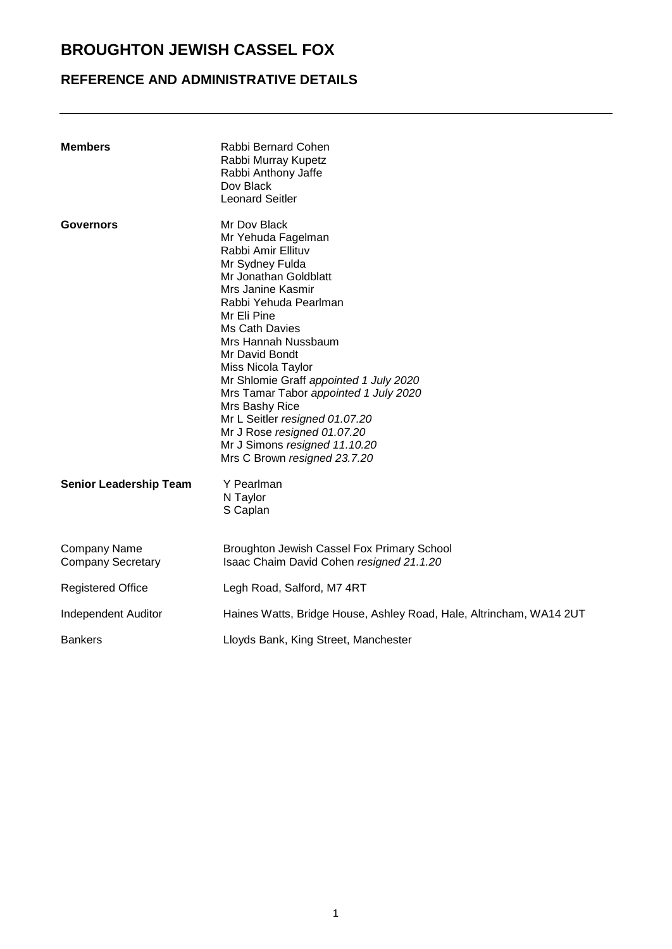## **REFERENCE AND ADMINISTRATIVE DETAILS**

| <b>Members</b>                           | Rabbi Bernard Cohen<br>Rabbi Murray Kupetz<br>Rabbi Anthony Jaffe<br>Dov Black<br><b>Leonard Seitler</b>                                                                                                                                                                                                                                                                                                                                                                                  |
|------------------------------------------|-------------------------------------------------------------------------------------------------------------------------------------------------------------------------------------------------------------------------------------------------------------------------------------------------------------------------------------------------------------------------------------------------------------------------------------------------------------------------------------------|
| <b>Governors</b>                         | Mr Dov Black<br>Mr Yehuda Fagelman<br>Rabbi Amir Ellituv<br>Mr Sydney Fulda<br>Mr Jonathan Goldblatt<br>Mrs Janine Kasmir<br>Rabbi Yehuda Pearlman<br>Mr Eli Pine<br>Ms Cath Davies<br>Mrs Hannah Nussbaum<br>Mr David Bondt<br>Miss Nicola Taylor<br>Mr Shlomie Graff appointed 1 July 2020<br>Mrs Tamar Tabor appointed 1 July 2020<br>Mrs Bashy Rice<br>Mr L Seitler resigned 01.07.20<br>Mr J Rose resigned 01.07.20<br>Mr J Simons resigned 11.10.20<br>Mrs C Brown resigned 23.7.20 |
| <b>Senior Leadership Team</b>            | Y Pearlman<br>N Taylor<br>S Caplan                                                                                                                                                                                                                                                                                                                                                                                                                                                        |
| Company Name<br><b>Company Secretary</b> | Broughton Jewish Cassel Fox Primary School<br>Isaac Chaim David Cohen resigned 21.1.20                                                                                                                                                                                                                                                                                                                                                                                                    |
| <b>Registered Office</b>                 | Legh Road, Salford, M7 4RT                                                                                                                                                                                                                                                                                                                                                                                                                                                                |
| Independent Auditor                      | Haines Watts, Bridge House, Ashley Road, Hale, Altrincham, WA14 2UT                                                                                                                                                                                                                                                                                                                                                                                                                       |
| <b>Bankers</b>                           | Lloyds Bank, King Street, Manchester                                                                                                                                                                                                                                                                                                                                                                                                                                                      |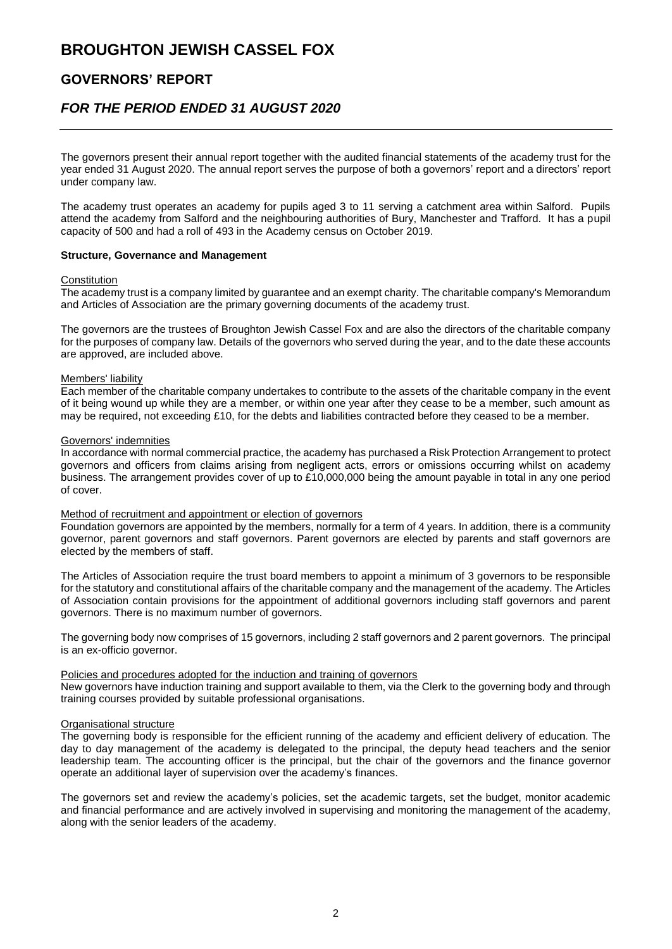### **GOVERNORS' REPORT**

### *FOR THE PERIOD ENDED 31 AUGUST 2020*

The governors present their annual report together with the audited financial statements of the academy trust for the year ended 31 August 2020. The annual report serves the purpose of both a governors' report and a directors' report under company law.

The academy trust operates an academy for pupils aged 3 to 11 serving a catchment area within Salford. Pupils attend the academy from Salford and the neighbouring authorities of Bury, Manchester and Trafford. It has a pupil capacity of 500 and had a roll of 493 in the Academy census on October 2019.

#### **Structure, Governance and Management**

#### **Constitution**

The academy trust is a company limited by guarantee and an exempt charity. The charitable company's Memorandum and Articles of Association are the primary governing documents of the academy trust.

The governors are the trustees of Broughton Jewish Cassel Fox and are also the directors of the charitable company for the purposes of company law. Details of the governors who served during the year, and to the date these accounts are approved, are included above.

#### Members' liability

Each member of the charitable company undertakes to contribute to the assets of the charitable company in the event of it being wound up while they are a member, or within one year after they cease to be a member, such amount as may be required, not exceeding £10, for the debts and liabilities contracted before they ceased to be a member.

#### Governors' indemnities

In accordance with normal commercial practice, the academy has purchased a Risk Protection Arrangement to protect governors and officers from claims arising from negligent acts, errors or omissions occurring whilst on academy business. The arrangement provides cover of up to £10,000,000 being the amount payable in total in any one period of cover.

#### Method of recruitment and appointment or election of governors

Foundation governors are appointed by the members, normally for a term of 4 years. In addition, there is a community governor, parent governors and staff governors. Parent governors are elected by parents and staff governors are elected by the members of staff.

The Articles of Association require the trust board members to appoint a minimum of 3 governors to be responsible for the statutory and constitutional affairs of the charitable company and the management of the academy. The Articles of Association contain provisions for the appointment of additional governors including staff governors and parent governors. There is no maximum number of governors.

The governing body now comprises of 15 governors, including 2 staff governors and 2 parent governors. The principal is an ex-officio governor.

#### Policies and procedures adopted for the induction and training of governors

New governors have induction training and support available to them, via the Clerk to the governing body and through training courses provided by suitable professional organisations.

#### Organisational structure

The governing body is responsible for the efficient running of the academy and efficient delivery of education. The day to day management of the academy is delegated to the principal, the deputy head teachers and the senior leadership team. The accounting officer is the principal, but the chair of the governors and the finance governor operate an additional layer of supervision over the academy's finances.

The governors set and review the academy's policies, set the academic targets, set the budget, monitor academic and financial performance and are actively involved in supervising and monitoring the management of the academy, along with the senior leaders of the academy.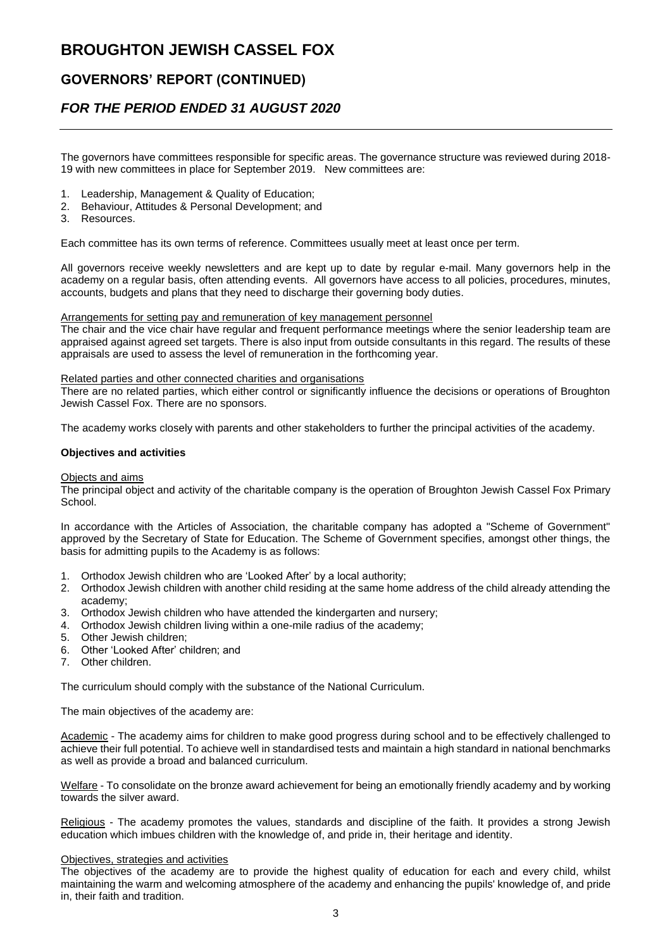### **GOVERNORS' REPORT (CONTINUED)**

### *FOR THE PERIOD ENDED 31 AUGUST 2020*

The governors have committees responsible for specific areas. The governance structure was reviewed during 2018- 19 with new committees in place for September 2019. New committees are:

- 1. Leadership, Management & Quality of Education;
- 2. Behaviour, Attitudes & Personal Development; and
- 3. Resources.

Each committee has its own terms of reference. Committees usually meet at least once per term.

All governors receive weekly newsletters and are kept up to date by regular e-mail. Many governors help in the academy on a regular basis, often attending events. All governors have access to all policies, procedures, minutes, accounts, budgets and plans that they need to discharge their governing body duties.

Arrangements for setting pay and remuneration of key management personnel

The chair and the vice chair have regular and frequent performance meetings where the senior leadership team are appraised against agreed set targets. There is also input from outside consultants in this regard. The results of these appraisals are used to assess the level of remuneration in the forthcoming year.

#### Related parties and other connected charities and organisations

There are no related parties, which either control or significantly influence the decisions or operations of Broughton Jewish Cassel Fox. There are no sponsors.

The academy works closely with parents and other stakeholders to further the principal activities of the academy.

#### **Objectives and activities**

#### Objects and aims

The principal object and activity of the charitable company is the operation of Broughton Jewish Cassel Fox Primary School.

In accordance with the Articles of Association, the charitable company has adopted a "Scheme of Government" approved by the Secretary of State for Education. The Scheme of Government specifies, amongst other things, the basis for admitting pupils to the Academy is as follows:

- 1. Orthodox Jewish children who are 'Looked After' by a local authority;
- 2. Orthodox Jewish children with another child residing at the same home address of the child already attending the academy;
- 3. Orthodox Jewish children who have attended the kindergarten and nursery;
- 4. Orthodox Jewish children living within a one-mile radius of the academy;
- 5. Other Jewish children;
- 6. Other 'Looked After' children; and
- 7. Other children.

The curriculum should comply with the substance of the National Curriculum.

The main objectives of the academy are:

Academic - The academy aims for children to make good progress during school and to be effectively challenged to achieve their full potential. To achieve well in standardised tests and maintain a high standard in national benchmarks as well as provide a broad and balanced curriculum.

Welfare - To consolidate on the bronze award achievement for being an emotionally friendly academy and by working towards the silver award.

Religious - The academy promotes the values, standards and discipline of the faith. It provides a strong Jewish education which imbues children with the knowledge of, and pride in, their heritage and identity.

#### Objectives, strategies and activities

The objectives of the academy are to provide the highest quality of education for each and every child, whilst maintaining the warm and welcoming atmosphere of the academy and enhancing the pupils' knowledge of, and pride in, their faith and tradition.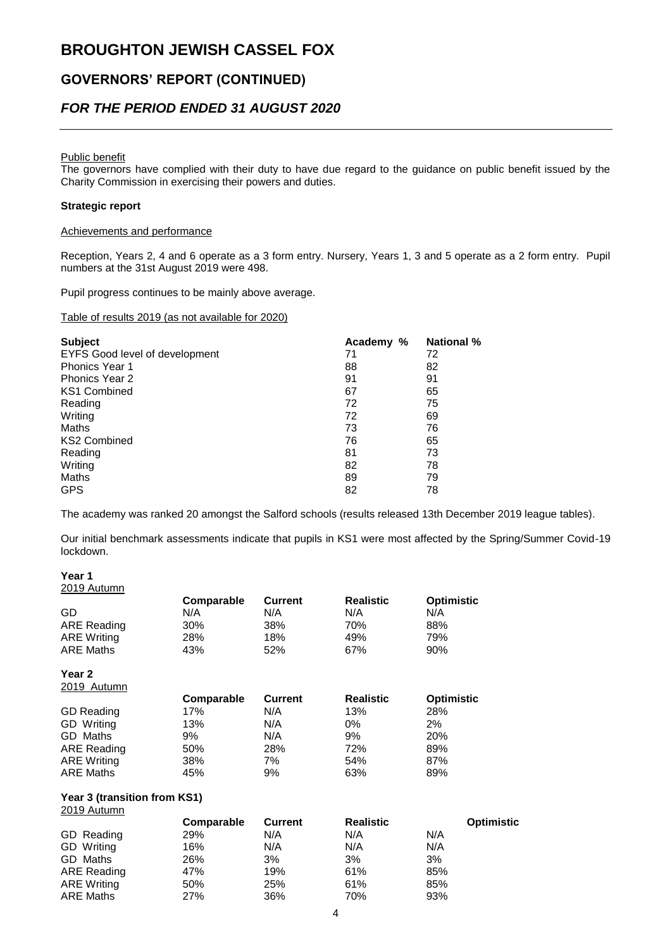### **GOVERNORS' REPORT (CONTINUED)**

### *FOR THE PERIOD ENDED 31 AUGUST 2020*

#### Public benefit

The governors have complied with their duty to have due regard to the guidance on public benefit issued by the Charity Commission in exercising their powers and duties.

#### **Strategic report**

#### Achievements and performance

Reception, Years 2, 4 and 6 operate as a 3 form entry. Nursery, Years 1, 3 and 5 operate as a 2 form entry. Pupil numbers at the 31st August 2019 were 498.

Pupil progress continues to be mainly above average.

#### Table of results 2019 (as not available for 2020)

| <b>Subject</b>                 | Academy % | <b>National %</b> |
|--------------------------------|-----------|-------------------|
| EYFS Good level of development | 71        | 72                |
| <b>Phonics Year 1</b>          | 88        | 82                |
| <b>Phonics Year 2</b>          | 91        | 91                |
| <b>KS1 Combined</b>            | 67        | 65                |
| Reading                        | 72        | 75                |
| Writing                        | 72        | 69                |
| Maths                          | 73        | 76                |
| <b>KS2 Combined</b>            | 76        | 65                |
| Reading                        | 81        | 73                |
| Writing                        | 82        | 78                |
| Maths                          | 89        | 79                |
| <b>GPS</b>                     | 82        | 78                |

The academy was ranked 20 amongst the Salford schools (results released 13th December 2019 league tables).

Our initial benchmark assessments indicate that pupils in KS1 were most affected by the Spring/Summer Covid-19 lockdown.

#### **Year 1**

2019 Autumn

| - - - - - - - - - - - - - - - - |            |                |                  |                   |  |
|---------------------------------|------------|----------------|------------------|-------------------|--|
|                                 | Comparable | <b>Current</b> | <b>Realistic</b> | <b>Optimistic</b> |  |
| GD                              | N/A        | N/A            | N/A              | N/A               |  |
| <b>ARE Reading</b>              | 30%        | 38%            | 70%              | 88%               |  |
| <b>ARE Writing</b>              | 28%        | 18%            | 49%              | 79%               |  |
| <b>ARE Maths</b>                | 43%        | 52%            | 67%              | 90%               |  |
| Year 2                          |            |                |                  |                   |  |
| 2019 Autumn                     |            |                |                  |                   |  |
|                                 | Comparable | <b>Current</b> | <b>Realistic</b> | <b>Optimistic</b> |  |
| <b>GD Reading</b>               | 17%        | N/A            | 13%              | 28%               |  |
| <b>GD</b> Writing               | 13%        | N/A            | $0\%$            | 2%                |  |
| GD Maths                        | 9%         | N/A            | 9%               | 20%               |  |
| <b>ARE Reading</b>              | 50%        | 28%            | 72%              | 89%               |  |
| <b>ARE Writing</b>              | 38%        | 7%             | 54%              | 87%               |  |
| <b>ARE Maths</b>                |            |                |                  |                   |  |
|                                 | 45%        | 9%             | 63%              | 89%               |  |

#### **Year 3 (transition from KS1)**  $2019$  Autumn

| $2010$ rutuun      |            |         |                  |                   |
|--------------------|------------|---------|------------------|-------------------|
|                    | Comparable | Current | <b>Realistic</b> | <b>Optimistic</b> |
| GD Reading         | 29%        | N/A     | N/A              | N/A               |
| <b>GD</b> Writing  | 16%        | N/A     | N/A              | N/A               |
| GD Maths           | 26%        | 3%      | 3%               | 3%                |
| ARE Reading        | 47%        | 19%     | 61%              | 85%               |
| <b>ARE Writing</b> | 50%        | 25%     | 61%              | 85%               |
| <b>ARE Maths</b>   | 27%        | 36%     | 70%              | 93%               |
|                    |            |         |                  |                   |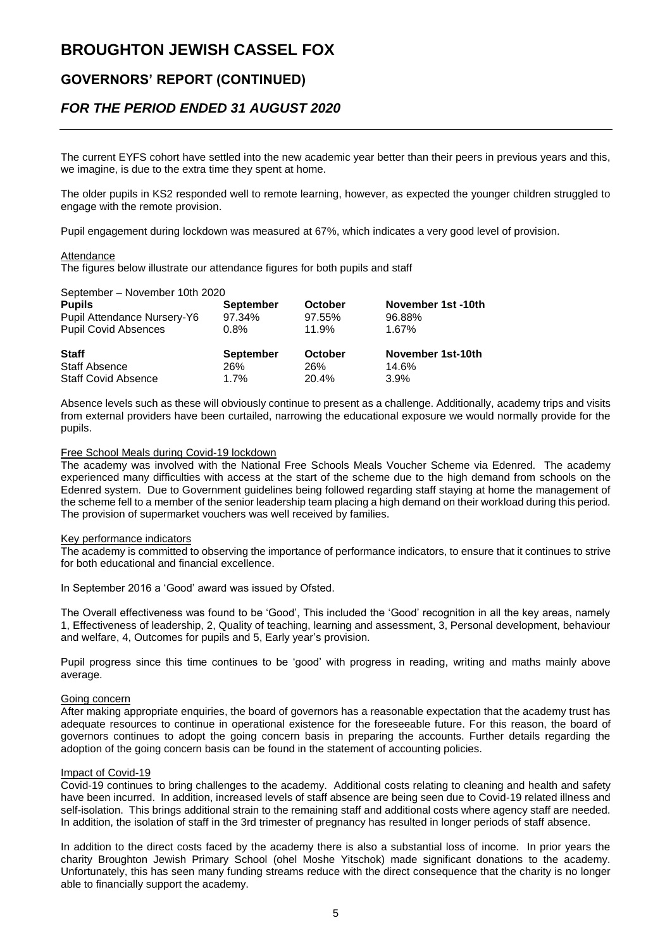### **GOVERNORS' REPORT (CONTINUED)**

### *FOR THE PERIOD ENDED 31 AUGUST 2020*

The current EYFS cohort have settled into the new academic year better than their peers in previous years and this, we imagine, is due to the extra time they spent at home.

The older pupils in KS2 responded well to remote learning, however, as expected the younger children struggled to engage with the remote provision.

Pupil engagement during lockdown was measured at 67%, which indicates a very good level of provision.

#### Attendance

The figures below illustrate our attendance figures for both pupils and staff

#### September – November 10th 2020

| <b>Pupils</b>                      | <b>September</b> | <b>October</b> | November 1st -10th |
|------------------------------------|------------------|----------------|--------------------|
| <b>Pupil Attendance Nursery-Y6</b> | 97.34%           | 97.55%         | 96.88%             |
| <b>Pupil Covid Absences</b>        | 0.8%             | 11.9%          | 1.67%              |
| <b>Staff</b>                       | <b>September</b> | <b>October</b> | November 1st-10th  |
| <b>Staff Absence</b>               | 26%              | 26%            | 14.6%              |
|                                    |                  |                |                    |

Absence levels such as these will obviously continue to present as a challenge. Additionally, academy trips and visits from external providers have been curtailed, narrowing the educational exposure we would normally provide for the pupils.

#### Free School Meals during Covid-19 lockdown

The academy was involved with the National Free Schools Meals Voucher Scheme via Edenred. The academy experienced many difficulties with access at the start of the scheme due to the high demand from schools on the Edenred system. Due to Government guidelines being followed regarding staff staying at home the management of the scheme fell to a member of the senior leadership team placing a high demand on their workload during this period. The provision of supermarket vouchers was well received by families.

#### Key performance indicators

The academy is committed to observing the importance of performance indicators, to ensure that it continues to strive for both educational and financial excellence.

In September 2016 a 'Good' award was issued by Ofsted.

The Overall effectiveness was found to be 'Good', This included the 'Good' recognition in all the key areas, namely 1, Effectiveness of leadership, 2, Quality of teaching, learning and assessment, 3, Personal development, behaviour and welfare, 4, Outcomes for pupils and 5, Early year's provision.

Pupil progress since this time continues to be 'good' with progress in reading, writing and maths mainly above average.

#### Going concern

After making appropriate enquiries, the board of governors has a reasonable expectation that the academy trust has adequate resources to continue in operational existence for the foreseeable future. For this reason, the board of governors continues to adopt the going concern basis in preparing the accounts. Further details regarding the adoption of the going concern basis can be found in the statement of accounting policies.

#### Impact of Covid-19

Covid-19 continues to bring challenges to the academy. Additional costs relating to cleaning and health and safety have been incurred. In addition, increased levels of staff absence are being seen due to Covid-19 related illness and self-isolation. This brings additional strain to the remaining staff and additional costs where agency staff are needed. In addition, the isolation of staff in the 3rd trimester of pregnancy has resulted in longer periods of staff absence.

In addition to the direct costs faced by the academy there is also a substantial loss of income. In prior years the charity Broughton Jewish Primary School (ohel Moshe Yitschok) made significant donations to the academy. Unfortunately, this has seen many funding streams reduce with the direct consequence that the charity is no longer able to financially support the academy.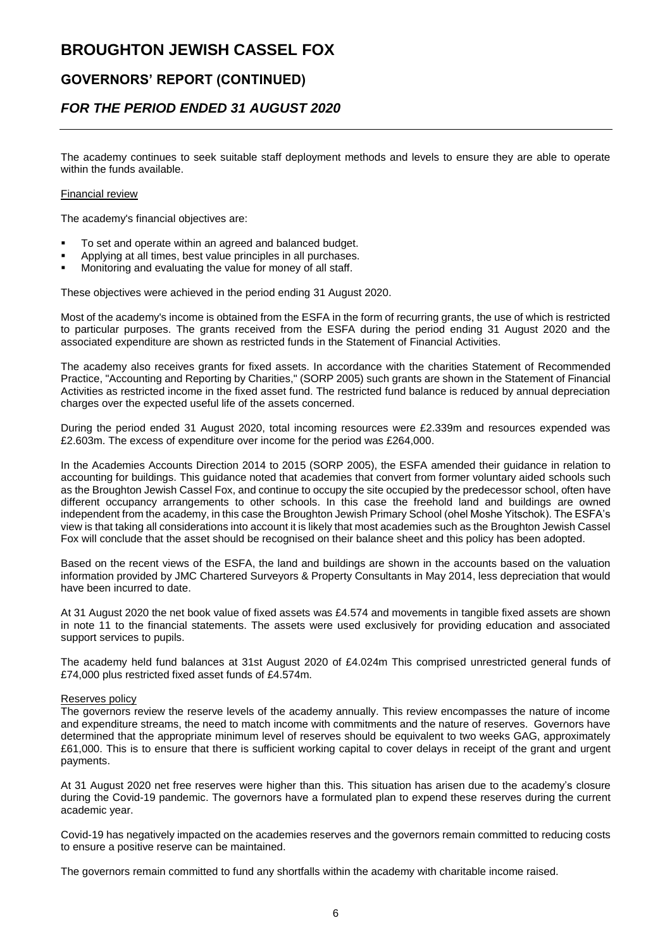### **GOVERNORS' REPORT (CONTINUED)**

### *FOR THE PERIOD ENDED 31 AUGUST 2020*

The academy continues to seek suitable staff deployment methods and levels to ensure they are able to operate within the funds available.

#### Financial review

The academy's financial objectives are:

- To set and operate within an agreed and balanced budget.
- Applying at all times, best value principles in all purchases.
- Monitoring and evaluating the value for money of all staff.

These objectives were achieved in the period ending 31 August 2020.

Most of the academy's income is obtained from the ESFA in the form of recurring grants, the use of which is restricted to particular purposes. The grants received from the ESFA during the period ending 31 August 2020 and the associated expenditure are shown as restricted funds in the Statement of Financial Activities.

The academy also receives grants for fixed assets. In accordance with the charities Statement of Recommended Practice, "Accounting and Reporting by Charities," (SORP 2005) such grants are shown in the Statement of Financial Activities as restricted income in the fixed asset fund. The restricted fund balance is reduced by annual depreciation charges over the expected useful life of the assets concerned.

During the period ended 31 August 2020, total incoming resources were £2.339m and resources expended was £2.603m. The excess of expenditure over income for the period was £264,000.

In the Academies Accounts Direction 2014 to 2015 (SORP 2005), the ESFA amended their guidance in relation to accounting for buildings. This guidance noted that academies that convert from former voluntary aided schools such as the Broughton Jewish Cassel Fox, and continue to occupy the site occupied by the predecessor school, often have different occupancy arrangements to other schools. In this case the freehold land and buildings are owned independent from the academy, in this case the Broughton Jewish Primary School (ohel Moshe Yitschok). The ESFA's view is that taking all considerations into account it is likely that most academies such as the Broughton Jewish Cassel Fox will conclude that the asset should be recognised on their balance sheet and this policy has been adopted.

Based on the recent views of the ESFA, the land and buildings are shown in the accounts based on the valuation information provided by JMC Chartered Surveyors & Property Consultants in May 2014, less depreciation that would have been incurred to date.

At 31 August 2020 the net book value of fixed assets was £4.574 and movements in tangible fixed assets are shown in note 11 to the financial statements. The assets were used exclusively for providing education and associated support services to pupils.

The academy held fund balances at 31st August 2020 of £4.024m This comprised unrestricted general funds of £74,000 plus restricted fixed asset funds of £4.574m.

#### Reserves policy

The governors review the reserve levels of the academy annually. This review encompasses the nature of income and expenditure streams, the need to match income with commitments and the nature of reserves. Governors have determined that the appropriate minimum level of reserves should be equivalent to two weeks GAG, approximately £61,000. This is to ensure that there is sufficient working capital to cover delays in receipt of the grant and urgent payments.

At 31 August 2020 net free reserves were higher than this. This situation has arisen due to the academy's closure during the Covid-19 pandemic. The governors have a formulated plan to expend these reserves during the current academic year.

Covid-19 has negatively impacted on the academies reserves and the governors remain committed to reducing costs to ensure a positive reserve can be maintained.

The governors remain committed to fund any shortfalls within the academy with charitable income raised.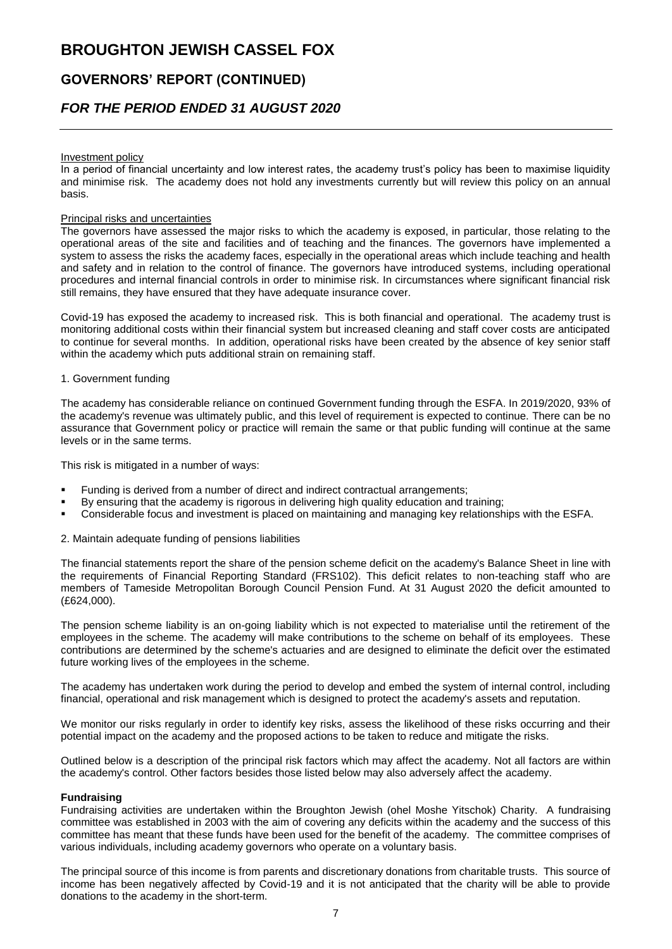### **GOVERNORS' REPORT (CONTINUED)**

### *FOR THE PERIOD ENDED 31 AUGUST 2020*

#### Investment policy

In a period of financial uncertainty and low interest rates, the academy trust's policy has been to maximise liquidity and minimise risk. The academy does not hold any investments currently but will review this policy on an annual basis.

#### Principal risks and uncertainties

The governors have assessed the major risks to which the academy is exposed, in particular, those relating to the operational areas of the site and facilities and of teaching and the finances. The governors have implemented a system to assess the risks the academy faces, especially in the operational areas which include teaching and health and safety and in relation to the control of finance. The governors have introduced systems, including operational procedures and internal financial controls in order to minimise risk. In circumstances where significant financial risk still remains, they have ensured that they have adequate insurance cover.

Covid-19 has exposed the academy to increased risk. This is both financial and operational. The academy trust is monitoring additional costs within their financial system but increased cleaning and staff cover costs are anticipated to continue for several months. In addition, operational risks have been created by the absence of key senior staff within the academy which puts additional strain on remaining staff.

#### 1. Government funding

The academy has considerable reliance on continued Government funding through the ESFA. In 2019/2020, 93% of the academy's revenue was ultimately public, and this level of requirement is expected to continue. There can be no assurance that Government policy or practice will remain the same or that public funding will continue at the same levels or in the same terms.

This risk is mitigated in a number of ways:

- Funding is derived from a number of direct and indirect contractual arrangements;
- By ensuring that the academy is rigorous in delivering high quality education and training;
- Considerable focus and investment is placed on maintaining and managing key relationships with the ESFA.

#### 2. Maintain adequate funding of pensions liabilities

The financial statements report the share of the pension scheme deficit on the academy's Balance Sheet in line with the requirements of Financial Reporting Standard (FRS102). This deficit relates to non-teaching staff who are members of Tameside Metropolitan Borough Council Pension Fund. At 31 August 2020 the deficit amounted to (£624,000).

The pension scheme liability is an on-going liability which is not expected to materialise until the retirement of the employees in the scheme. The academy will make contributions to the scheme on behalf of its employees. These contributions are determined by the scheme's actuaries and are designed to eliminate the deficit over the estimated future working lives of the employees in the scheme.

The academy has undertaken work during the period to develop and embed the system of internal control, including financial, operational and risk management which is designed to protect the academy's assets and reputation.

We monitor our risks regularly in order to identify key risks, assess the likelihood of these risks occurring and their potential impact on the academy and the proposed actions to be taken to reduce and mitigate the risks.

Outlined below is a description of the principal risk factors which may affect the academy. Not all factors are within the academy's control. Other factors besides those listed below may also adversely affect the academy.

#### **Fundraising**

Fundraising activities are undertaken within the Broughton Jewish (ohel Moshe Yitschok) Charity. A fundraising committee was established in 2003 with the aim of covering any deficits within the academy and the success of this committee has meant that these funds have been used for the benefit of the academy. The committee comprises of various individuals, including academy governors who operate on a voluntary basis.

The principal source of this income is from parents and discretionary donations from charitable trusts. This source of income has been negatively affected by Covid-19 and it is not anticipated that the charity will be able to provide donations to the academy in the short-term.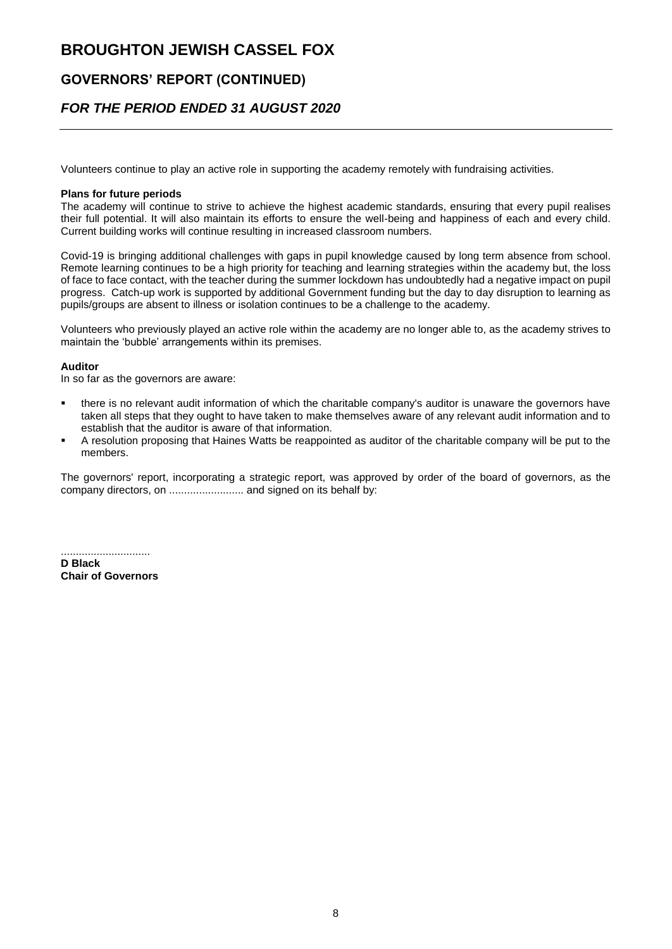### **GOVERNORS' REPORT (CONTINUED)**

### *FOR THE PERIOD ENDED 31 AUGUST 2020*

Volunteers continue to play an active role in supporting the academy remotely with fundraising activities.

#### **Plans for future periods**

The academy will continue to strive to achieve the highest academic standards, ensuring that every pupil realises their full potential. It will also maintain its efforts to ensure the well-being and happiness of each and every child. Current building works will continue resulting in increased classroom numbers.

Covid-19 is bringing additional challenges with gaps in pupil knowledge caused by long term absence from school. Remote learning continues to be a high priority for teaching and learning strategies within the academy but, the loss of face to face contact, with the teacher during the summer lockdown has undoubtedly had a negative impact on pupil progress. Catch-up work is supported by additional Government funding but the day to day disruption to learning as pupils/groups are absent to illness or isolation continues to be a challenge to the academy.

Volunteers who previously played an active role within the academy are no longer able to, as the academy strives to maintain the 'bubble' arrangements within its premises.

#### **Auditor**

In so far as the governors are aware:

- there is no relevant audit information of which the charitable company's auditor is unaware the governors have taken all steps that they ought to have taken to make themselves aware of any relevant audit information and to establish that the auditor is aware of that information.
- A resolution proposing that Haines Watts be reappointed as auditor of the charitable company will be put to the members.

The governors' report, incorporating a strategic report, was approved by order of the board of governors, as the company directors, on ......................... and signed on its behalf by:

.............................. **D Black Chair of Governors**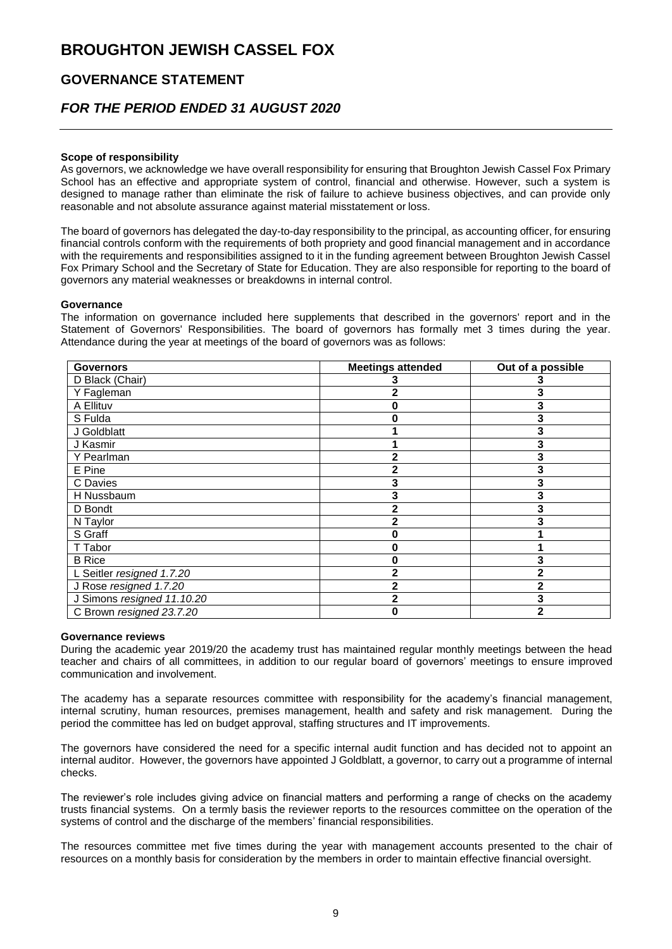### **GOVERNANCE STATEMENT**

### *FOR THE PERIOD ENDED 31 AUGUST 2020*

#### **Scope of responsibility**

As governors, we acknowledge we have overall responsibility for ensuring that Broughton Jewish Cassel Fox Primary School has an effective and appropriate system of control, financial and otherwise. However, such a system is designed to manage rather than eliminate the risk of failure to achieve business objectives, and can provide only reasonable and not absolute assurance against material misstatement or loss.

The board of governors has delegated the day-to-day responsibility to the principal, as accounting officer, for ensuring financial controls conform with the requirements of both propriety and good financial management and in accordance with the requirements and responsibilities assigned to it in the funding agreement between Broughton Jewish Cassel Fox Primary School and the Secretary of State for Education. They are also responsible for reporting to the board of governors any material weaknesses or breakdowns in internal control.

#### **Governance**

The information on governance included here supplements that described in the governors' report and in the Statement of Governors' Responsibilities. The board of governors has formally met 3 times during the year. Attendance during the year at meetings of the board of governors was as follows:

| <b>Governors</b>           | <b>Meetings attended</b> | Out of a possible |
|----------------------------|--------------------------|-------------------|
| D Black (Chair)            |                          |                   |
| Y Fagleman                 |                          |                   |
| A Ellituv                  |                          | 3                 |
| S Fulda                    |                          |                   |
| J Goldblatt                |                          | 3                 |
| J Kasmir                   |                          | 3                 |
| Y Pearlman                 |                          | 3                 |
| E Pine                     |                          |                   |
| C Davies                   |                          |                   |
| H Nussbaum                 | 3                        | 3                 |
| D Bondt                    |                          |                   |
| N Taylor                   |                          |                   |
| S Graff                    | O                        |                   |
| T Tabor                    | 0                        |                   |
| <b>B</b> Rice              | Ω                        | 3                 |
| L Seitler resigned 1.7.20  |                          |                   |
| J Rose resigned 1.7.20     |                          |                   |
| J Simons resigned 11.10.20 | 2                        |                   |
| C Brown resigned 23.7.20   | Λ                        | 2                 |

#### **Governance reviews**

During the academic year 2019/20 the academy trust has maintained regular monthly meetings between the head teacher and chairs of all committees, in addition to our regular board of governors' meetings to ensure improved communication and involvement.

The academy has a separate resources committee with responsibility for the academy's financial management, internal scrutiny, human resources, premises management, health and safety and risk management. During the period the committee has led on budget approval, staffing structures and IT improvements.

The governors have considered the need for a specific internal audit function and has decided not to appoint an internal auditor. However, the governors have appointed J Goldblatt, a governor, to carry out a programme of internal checks.

The reviewer's role includes giving advice on financial matters and performing a range of checks on the academy trusts financial systems. On a termly basis the reviewer reports to the resources committee on the operation of the systems of control and the discharge of the members' financial responsibilities.

The resources committee met five times during the year with management accounts presented to the chair of resources on a monthly basis for consideration by the members in order to maintain effective financial oversight.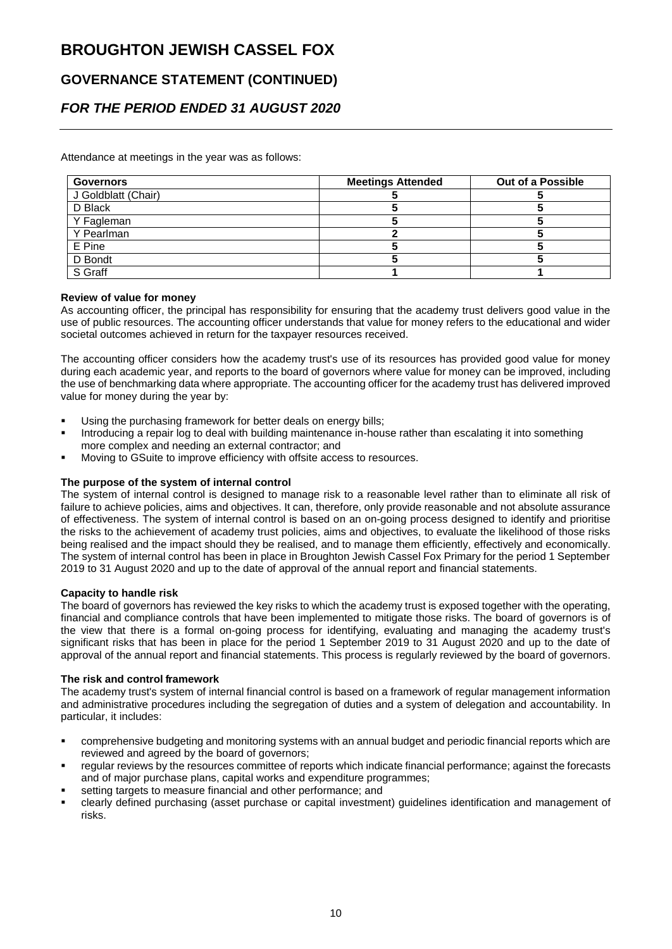## **GOVERNANCE STATEMENT (CONTINUED)**

## *FOR THE PERIOD ENDED 31 AUGUST 2020*

Attendance at meetings in the year was as follows:

| <b>Governors</b>    | <b>Meetings Attended</b> | Out of a Possible |
|---------------------|--------------------------|-------------------|
| J Goldblatt (Chair) |                          |                   |
| D Black             |                          |                   |
| Y Fagleman          |                          |                   |
| Y Pearlman          |                          |                   |
| E Pine              |                          |                   |
| D Bondt             |                          |                   |
| S Graff             |                          |                   |

#### **Review of value for money**

As accounting officer, the principal has responsibility for ensuring that the academy trust delivers good value in the use of public resources. The accounting officer understands that value for money refers to the educational and wider societal outcomes achieved in return for the taxpayer resources received.

The accounting officer considers how the academy trust's use of its resources has provided good value for money during each academic year, and reports to the board of governors where value for money can be improved, including the use of benchmarking data where appropriate. The accounting officer for the academy trust has delivered improved value for money during the year by:

- Using the purchasing framework for better deals on energy bills;
- Introducing a repair log to deal with building maintenance in-house rather than escalating it into something more complex and needing an external contractor; and
- Moving to GSuite to improve efficiency with offsite access to resources.

#### **The purpose of the system of internal control**

The system of internal control is designed to manage risk to a reasonable level rather than to eliminate all risk of failure to achieve policies, aims and objectives. It can, therefore, only provide reasonable and not absolute assurance of effectiveness. The system of internal control is based on an on-going process designed to identify and prioritise the risks to the achievement of academy trust policies, aims and objectives, to evaluate the likelihood of those risks being realised and the impact should they be realised, and to manage them efficiently, effectively and economically. The system of internal control has been in place in Broughton Jewish Cassel Fox Primary for the period 1 September 2019 to 31 August 2020 and up to the date of approval of the annual report and financial statements.

#### **Capacity to handle risk**

The board of governors has reviewed the key risks to which the academy trust is exposed together with the operating, financial and compliance controls that have been implemented to mitigate those risks. The board of governors is of the view that there is a formal on-going process for identifying, evaluating and managing the academy trust's significant risks that has been in place for the period 1 September 2019 to 31 August 2020 and up to the date of approval of the annual report and financial statements. This process is regularly reviewed by the board of governors.

#### **The risk and control framework**

The academy trust's system of internal financial control is based on a framework of regular management information and administrative procedures including the segregation of duties and a system of delegation and accountability. In particular, it includes:

- comprehensive budgeting and monitoring systems with an annual budget and periodic financial reports which are reviewed and agreed by the board of governors;
- regular reviews by the resources committee of reports which indicate financial performance; against the forecasts and of major purchase plans, capital works and expenditure programmes;
- setting targets to measure financial and other performance; and
- clearly defined purchasing (asset purchase or capital investment) guidelines identification and management of risks.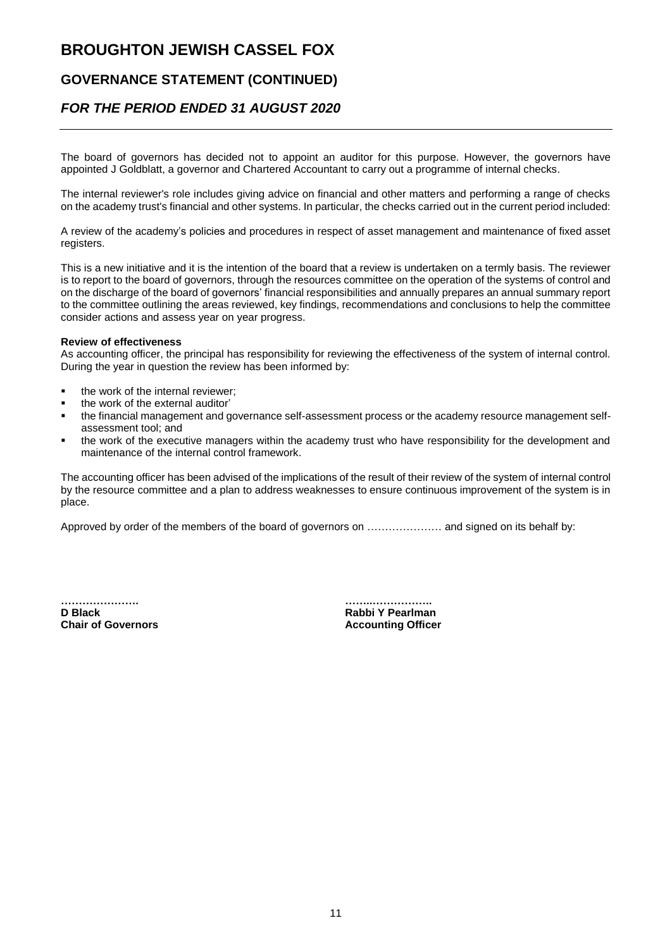## **GOVERNANCE STATEMENT (CONTINUED)**

### *FOR THE PERIOD ENDED 31 AUGUST 2020*

The board of governors has decided not to appoint an auditor for this purpose. However, the governors have appointed J Goldblatt, a governor and Chartered Accountant to carry out a programme of internal checks.

The internal reviewer's role includes giving advice on financial and other matters and performing a range of checks on the academy trust's financial and other systems. In particular, the checks carried out in the current period included:

A review of the academy's policies and procedures in respect of asset management and maintenance of fixed asset registers.

This is a new initiative and it is the intention of the board that a review is undertaken on a termly basis. The reviewer is to report to the board of governors, through the resources committee on the operation of the systems of control and on the discharge of the board of governors' financial responsibilities and annually prepares an annual summary report to the committee outlining the areas reviewed, key findings, recommendations and conclusions to help the committee consider actions and assess year on year progress.

#### **Review of effectiveness**

As accounting officer, the principal has responsibility for reviewing the effectiveness of the system of internal control. During the year in question the review has been informed by:

- the work of the internal reviewer;
- the work of the external auditor'
- the financial management and governance self-assessment process or the academy resource management selfassessment tool; and
- the work of the executive managers within the academy trust who have responsibility for the development and maintenance of the internal control framework.

The accounting officer has been advised of the implications of the result of their review of the system of internal control by the resource committee and a plan to address weaknesses to ensure continuous improvement of the system is in place.

Approved by order of the members of the board of governors on ………………… and signed on its behalf by:

**D Black Rabbi Y Pearlman** 

**…………………. ……..…………….. Accounting Officer**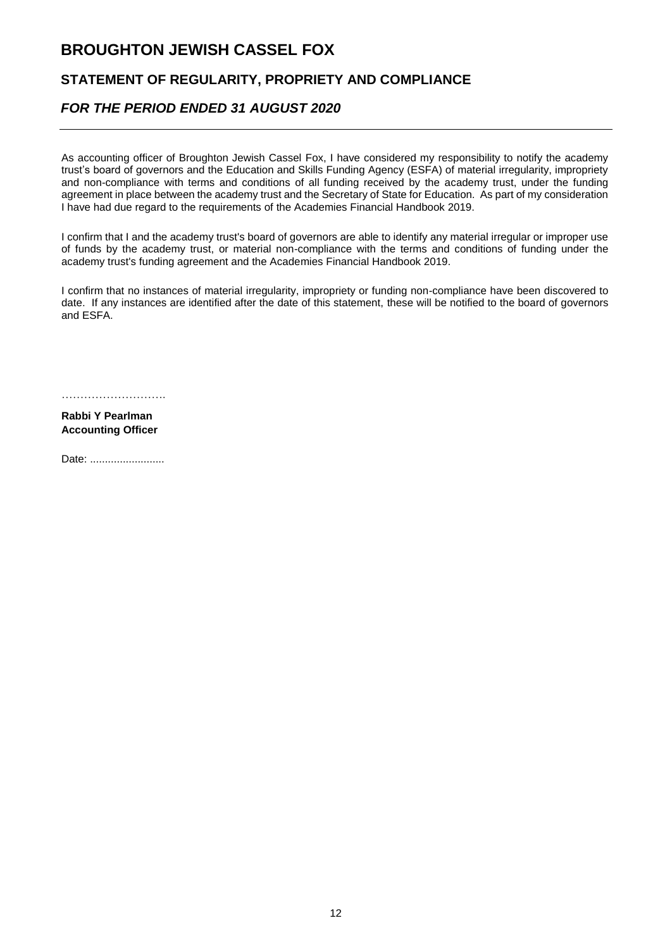### **STATEMENT OF REGULARITY, PROPRIETY AND COMPLIANCE**

## *FOR THE PERIOD ENDED 31 AUGUST 2020*

As accounting officer of Broughton Jewish Cassel Fox, I have considered my responsibility to notify the academy trust's board of governors and the Education and Skills Funding Agency (ESFA) of material irregularity, impropriety and non-compliance with terms and conditions of all funding received by the academy trust, under the funding agreement in place between the academy trust and the Secretary of State for Education. As part of my consideration I have had due regard to the requirements of the Academies Financial Handbook 2019.

I confirm that I and the academy trust's board of governors are able to identify any material irregular or improper use of funds by the academy trust, or material non-compliance with the terms and conditions of funding under the academy trust's funding agreement and the Academies Financial Handbook 2019.

I confirm that no instances of material irregularity, impropriety or funding non-compliance have been discovered to date. If any instances are identified after the date of this statement, these will be notified to the board of governors and ESFA.

……………………………………

**Rabbi Y Pearlman Accounting Officer**

Date: ..........................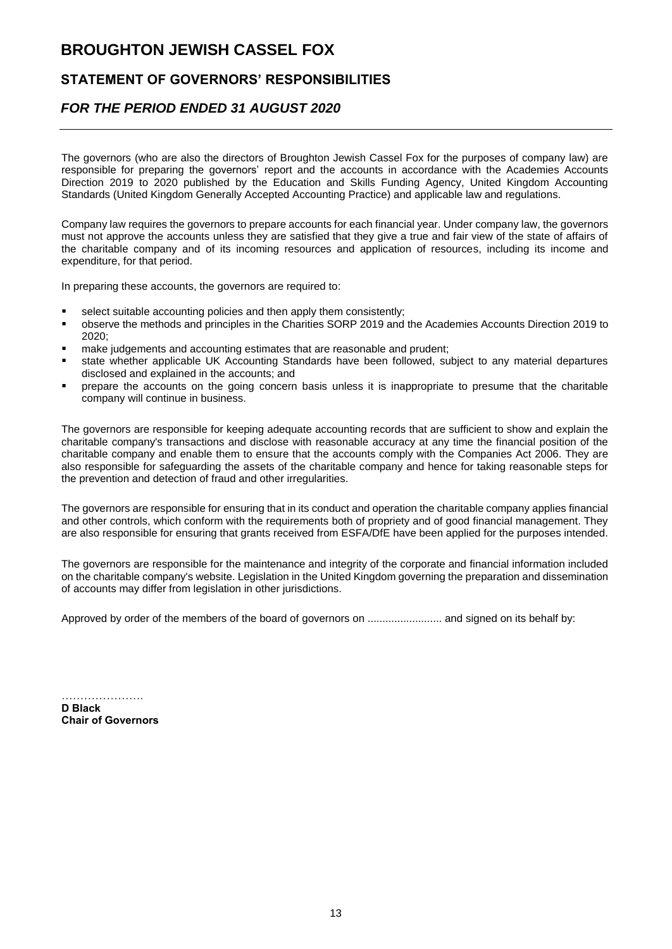### **STATEMENT OF GOVERNORS' RESPONSIBILITIES**

### *FOR THE PERIOD ENDED 31 AUGUST 2020*

The governors (who are also the directors of Broughton Jewish Cassel Fox for the purposes of company law) are responsible for preparing the governors' report and the accounts in accordance with the Academies Accounts Direction 2019 to 2020 published by the Education and Skills Funding Agency, United Kingdom Accounting Standards (United Kingdom Generally Accepted Accounting Practice) and applicable law and regulations.

Company law requires the governors to prepare accounts for each financial year. Under company law, the governors must not approve the accounts unless they are satisfied that they give a true and fair view of the state of affairs of the charitable company and of its incoming resources and application of resources, including its income and expenditure, for that period.

In preparing these accounts, the governors are required to:

- select suitable accounting policies and then apply them consistently;
- observe the methods and principles in the Charities SORP 2019 and the Academies Accounts Direction 2019 to 2020;
- make judgements and accounting estimates that are reasonable and prudent;
- state whether applicable UK Accounting Standards have been followed, subject to any material departures disclosed and explained in the accounts; and
- prepare the accounts on the going concern basis unless it is inappropriate to presume that the charitable company will continue in business.

The governors are responsible for keeping adequate accounting records that are sufficient to show and explain the charitable company's transactions and disclose with reasonable accuracy at any time the financial position of the charitable company and enable them to ensure that the accounts comply with the Companies Act 2006. They are also responsible for safeguarding the assets of the charitable company and hence for taking reasonable steps for the prevention and detection of fraud and other irregularities.

The governors are responsible for ensuring that in its conduct and operation the charitable company applies financial and other controls, which conform with the requirements both of propriety and of good financial management. They are also responsible for ensuring that grants received from ESFA/DfE have been applied for the purposes intended.

The governors are responsible for the maintenance and integrity of the corporate and financial information included on the charitable company's website. Legislation in the United Kingdom governing the preparation and dissemination of accounts may differ from legislation in other jurisdictions.

Approved by order of the members of the board of governors on ......................... and signed on its behalf by:

…………………… **D Black Chair of Governors**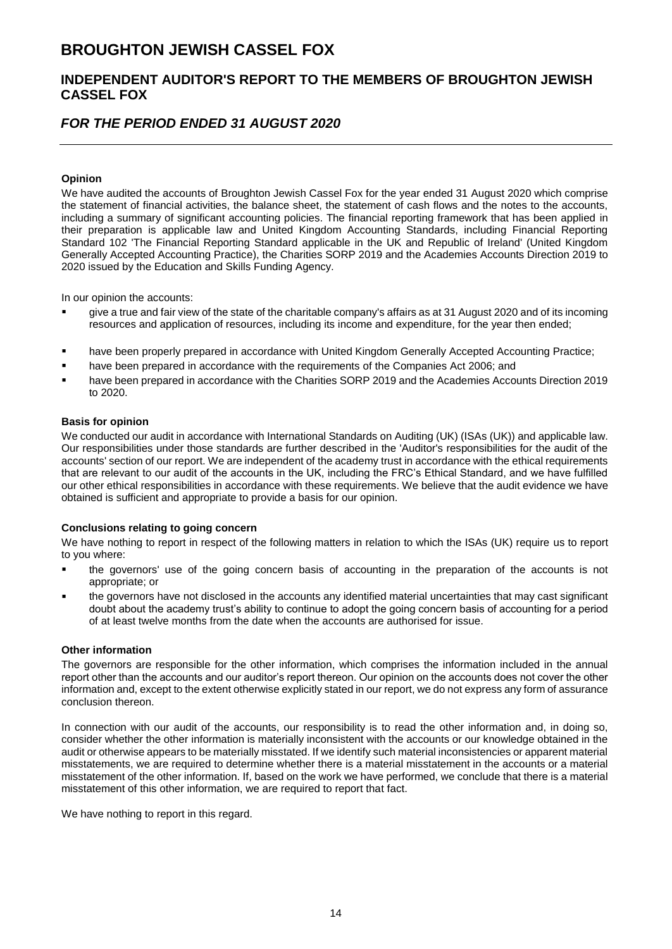### **INDEPENDENT AUDITOR'S REPORT TO THE MEMBERS OF BROUGHTON JEWISH CASSEL FOX**

## *FOR THE PERIOD ENDED 31 AUGUST 2020*

#### **Opinion**

We have audited the accounts of Broughton Jewish Cassel Fox for the year ended 31 August 2020 which comprise the statement of financial activities, the balance sheet, the statement of cash flows and the notes to the accounts, including a summary of significant accounting policies. The financial reporting framework that has been applied in their preparation is applicable law and United Kingdom Accounting Standards, including Financial Reporting Standard 102 'The Financial Reporting Standard applicable in the UK and Republic of Ireland' (United Kingdom Generally Accepted Accounting Practice), the Charities SORP 2019 and the Academies Accounts Direction 2019 to 2020 issued by the Education and Skills Funding Agency.

In our opinion the accounts:

- give a true and fair view of the state of the charitable company's affairs as at 31 August 2020 and of its incoming resources and application of resources, including its income and expenditure, for the year then ended;
- have been properly prepared in accordance with United Kingdom Generally Accepted Accounting Practice;
- have been prepared in accordance with the requirements of the Companies Act 2006; and
- have been prepared in accordance with the Charities SORP 2019 and the Academies Accounts Direction 2019 to 2020.

#### **Basis for opinion**

We conducted our audit in accordance with International Standards on Auditing (UK) (ISAs (UK)) and applicable law. Our responsibilities under those standards are further described in the 'Auditor's responsibilities for the audit of the accounts' section of our report. We are independent of the academy trust in accordance with the ethical requirements that are relevant to our audit of the accounts in the UK, including the FRC's Ethical Standard, and we have fulfilled our other ethical responsibilities in accordance with these requirements. We believe that the audit evidence we have obtained is sufficient and appropriate to provide a basis for our opinion.

#### **Conclusions relating to going concern**

We have nothing to report in respect of the following matters in relation to which the ISAs (UK) require us to report to you where:

- the governors' use of the going concern basis of accounting in the preparation of the accounts is not appropriate; or
- the governors have not disclosed in the accounts any identified material uncertainties that may cast significant doubt about the academy trust's ability to continue to adopt the going concern basis of accounting for a period of at least twelve months from the date when the accounts are authorised for issue.

#### **Other information**

The governors are responsible for the other information, which comprises the information included in the annual report other than the accounts and our auditor's report thereon. Our opinion on the accounts does not cover the other information and, except to the extent otherwise explicitly stated in our report, we do not express any form of assurance conclusion thereon.

In connection with our audit of the accounts, our responsibility is to read the other information and, in doing so, consider whether the other information is materially inconsistent with the accounts or our knowledge obtained in the audit or otherwise appears to be materially misstated. If we identify such material inconsistencies or apparent material misstatements, we are required to determine whether there is a material misstatement in the accounts or a material misstatement of the other information. If, based on the work we have performed, we conclude that there is a material misstatement of this other information, we are required to report that fact.

We have nothing to report in this regard.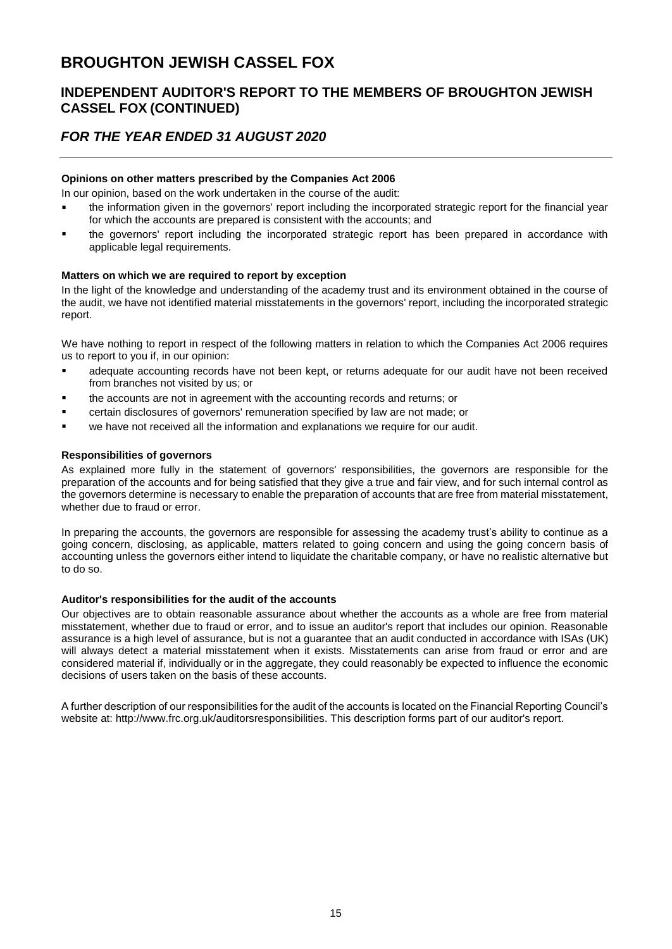### **INDEPENDENT AUDITOR'S REPORT TO THE MEMBERS OF BROUGHTON JEWISH CASSEL FOX (CONTINUED)**

## *FOR THE YEAR ENDED 31 AUGUST 2020*

#### **Opinions on other matters prescribed by the Companies Act 2006**

In our opinion, based on the work undertaken in the course of the audit:

- the information given in the governors' report including the incorporated strategic report for the financial year for which the accounts are prepared is consistent with the accounts; and
- the governors' report including the incorporated strategic report has been prepared in accordance with applicable legal requirements.

#### **Matters on which we are required to report by exception**

In the light of the knowledge and understanding of the academy trust and its environment obtained in the course of the audit, we have not identified material misstatements in the governors' report, including the incorporated strategic report.

We have nothing to report in respect of the following matters in relation to which the Companies Act 2006 requires us to report to you if, in our opinion:

- adequate accounting records have not been kept, or returns adequate for our audit have not been received from branches not visited by us; or
- the accounts are not in agreement with the accounting records and returns; or
- certain disclosures of governors' remuneration specified by law are not made; or
- we have not received all the information and explanations we require for our audit.

#### **Responsibilities of governors**

As explained more fully in the statement of governors' responsibilities, the governors are responsible for the preparation of the accounts and for being satisfied that they give a true and fair view, and for such internal control as the governors determine is necessary to enable the preparation of accounts that are free from material misstatement, whether due to fraud or error.

In preparing the accounts, the governors are responsible for assessing the academy trust's ability to continue as a going concern, disclosing, as applicable, matters related to going concern and using the going concern basis of accounting unless the governors either intend to liquidate the charitable company, or have no realistic alternative but to do so.

#### **Auditor's responsibilities for the audit of the accounts**

Our objectives are to obtain reasonable assurance about whether the accounts as a whole are free from material misstatement, whether due to fraud or error, and to issue an auditor's report that includes our opinion. Reasonable assurance is a high level of assurance, but is not a guarantee that an audit conducted in accordance with ISAs (UK) will always detect a material misstatement when it exists. Misstatements can arise from fraud or error and are considered material if, individually or in the aggregate, they could reasonably be expected to influence the economic decisions of users taken on the basis of these accounts.

A further description of our responsibilities for the audit of the accounts is located on the Financial Reporting Council's website at: http://www.frc.org.uk/auditorsresponsibilities. This description forms part of our auditor's report.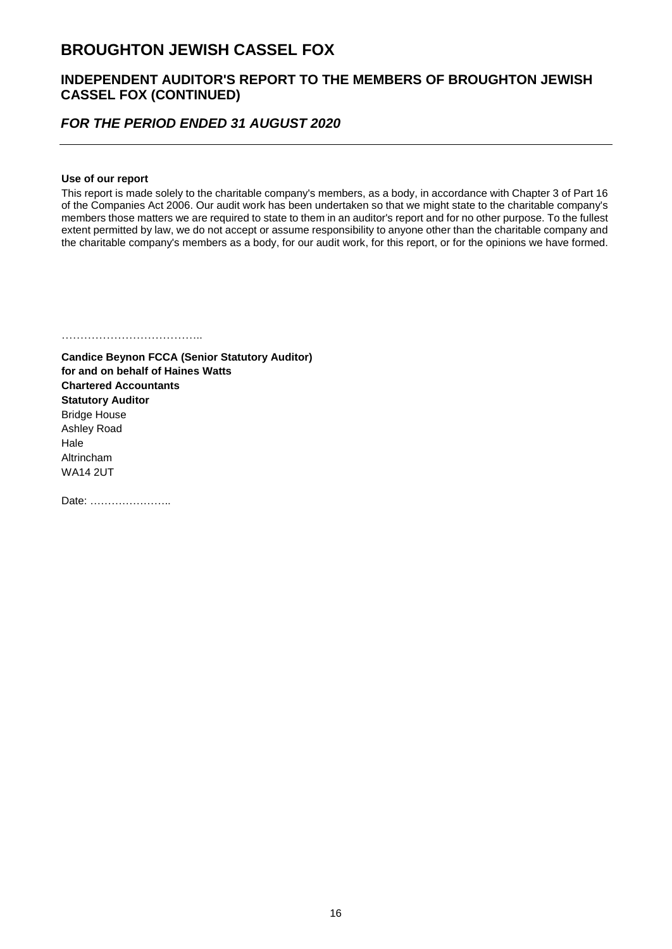### **INDEPENDENT AUDITOR'S REPORT TO THE MEMBERS OF BROUGHTON JEWISH CASSEL FOX (CONTINUED)**

### *FOR THE PERIOD ENDED 31 AUGUST 2020*

#### **Use of our report**

This report is made solely to the charitable company's members, as a body, in accordance with Chapter 3 of Part 16 of the Companies Act 2006. Our audit work has been undertaken so that we might state to the charitable company's members those matters we are required to state to them in an auditor's report and for no other purpose. To the fullest extent permitted by law, we do not accept or assume responsibility to anyone other than the charitable company and the charitable company's members as a body, for our audit work, for this report, or for the opinions we have formed.

………………………………..

**Candice Beynon FCCA (Senior Statutory Auditor) for and on behalf of Haines Watts Chartered Accountants Statutory Auditor** Bridge House Ashley Road Hale Altrincham WA14 2UT

Date: …………………..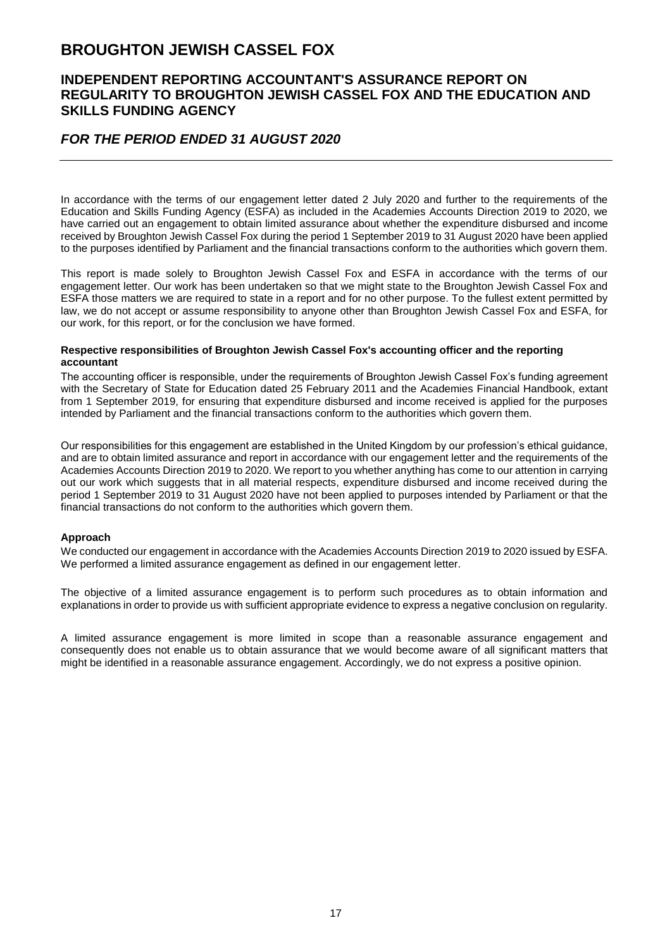### **INDEPENDENT REPORTING ACCOUNTANT'S ASSURANCE REPORT ON REGULARITY TO BROUGHTON JEWISH CASSEL FOX AND THE EDUCATION AND SKILLS FUNDING AGENCY**

### *FOR THE PERIOD ENDED 31 AUGUST 2020*

In accordance with the terms of our engagement letter dated 2 July 2020 and further to the requirements of the Education and Skills Funding Agency (ESFA) as included in the Academies Accounts Direction 2019 to 2020, we have carried out an engagement to obtain limited assurance about whether the expenditure disbursed and income received by Broughton Jewish Cassel Fox during the period 1 September 2019 to 31 August 2020 have been applied to the purposes identified by Parliament and the financial transactions conform to the authorities which govern them.

This report is made solely to Broughton Jewish Cassel Fox and ESFA in accordance with the terms of our engagement letter. Our work has been undertaken so that we might state to the Broughton Jewish Cassel Fox and ESFA those matters we are required to state in a report and for no other purpose. To the fullest extent permitted by law, we do not accept or assume responsibility to anyone other than Broughton Jewish Cassel Fox and ESFA, for our work, for this report, or for the conclusion we have formed.

#### **Respective responsibilities of Broughton Jewish Cassel Fox's accounting officer and the reporting accountant**

The accounting officer is responsible, under the requirements of Broughton Jewish Cassel Fox's funding agreement with the Secretary of State for Education dated 25 February 2011 and the Academies Financial Handbook, extant from 1 September 2019, for ensuring that expenditure disbursed and income received is applied for the purposes intended by Parliament and the financial transactions conform to the authorities which govern them.

Our responsibilities for this engagement are established in the United Kingdom by our profession's ethical guidance, and are to obtain limited assurance and report in accordance with our engagement letter and the requirements of the Academies Accounts Direction 2019 to 2020. We report to you whether anything has come to our attention in carrying out our work which suggests that in all material respects, expenditure disbursed and income received during the period 1 September 2019 to 31 August 2020 have not been applied to purposes intended by Parliament or that the financial transactions do not conform to the authorities which govern them.

#### **Approach**

We conducted our engagement in accordance with the Academies Accounts Direction 2019 to 2020 issued by ESFA. We performed a limited assurance engagement as defined in our engagement letter.

The objective of a limited assurance engagement is to perform such procedures as to obtain information and explanations in order to provide us with sufficient appropriate evidence to express a negative conclusion on regularity.

A limited assurance engagement is more limited in scope than a reasonable assurance engagement and consequently does not enable us to obtain assurance that we would become aware of all significant matters that might be identified in a reasonable assurance engagement. Accordingly, we do not express a positive opinion.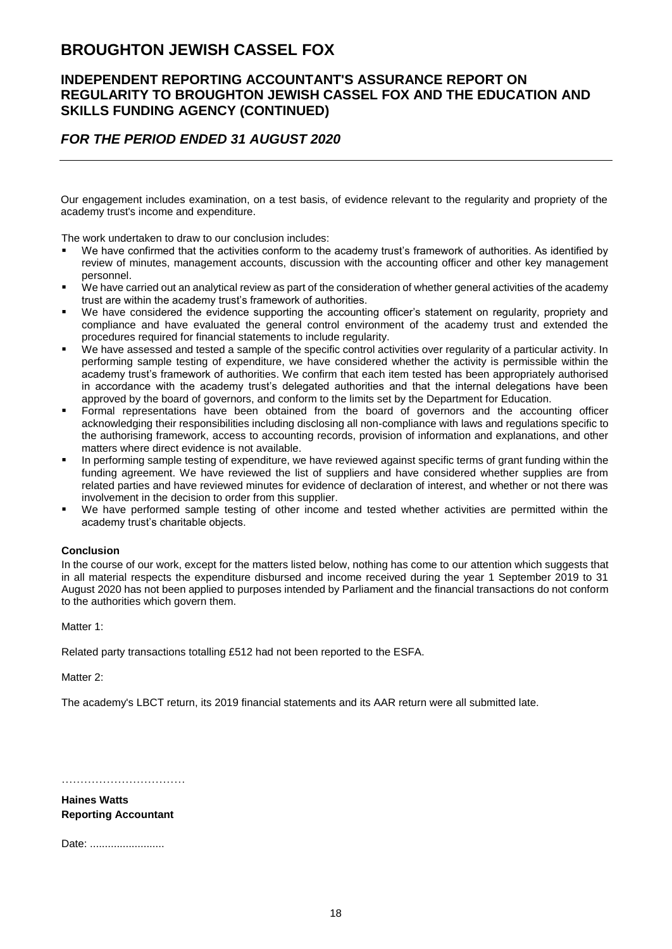### **INDEPENDENT REPORTING ACCOUNTANT'S ASSURANCE REPORT ON REGULARITY TO BROUGHTON JEWISH CASSEL FOX AND THE EDUCATION AND SKILLS FUNDING AGENCY (CONTINUED)**

### *FOR THE PERIOD ENDED 31 AUGUST 2020*

Our engagement includes examination, on a test basis, of evidence relevant to the regularity and propriety of the academy trust's income and expenditure.

The work undertaken to draw to our conclusion includes:

- We have confirmed that the activities conform to the academy trust's framework of authorities. As identified by review of minutes, management accounts, discussion with the accounting officer and other key management personnel.
- We have carried out an analytical review as part of the consideration of whether general activities of the academy trust are within the academy trust's framework of authorities.
- We have considered the evidence supporting the accounting officer's statement on regularity, propriety and compliance and have evaluated the general control environment of the academy trust and extended the procedures required for financial statements to include regularity.
- We have assessed and tested a sample of the specific control activities over regularity of a particular activity. In performing sample testing of expenditure, we have considered whether the activity is permissible within the academy trust's framework of authorities. We confirm that each item tested has been appropriately authorised in accordance with the academy trust's delegated authorities and that the internal delegations have been approved by the board of governors, and conform to the limits set by the Department for Education.
- Formal representations have been obtained from the board of governors and the accounting officer acknowledging their responsibilities including disclosing all non-compliance with laws and regulations specific to the authorising framework, access to accounting records, provision of information and explanations, and other matters where direct evidence is not available.
- In performing sample testing of expenditure, we have reviewed against specific terms of grant funding within the funding agreement. We have reviewed the list of suppliers and have considered whether supplies are from related parties and have reviewed minutes for evidence of declaration of interest, and whether or not there was involvement in the decision to order from this supplier.
- We have performed sample testing of other income and tested whether activities are permitted within the academy trust's charitable objects.

#### **Conclusion**

In the course of our work, except for the matters listed below, nothing has come to our attention which suggests that in all material respects the expenditure disbursed and income received during the year 1 September 2019 to 31 August 2020 has not been applied to purposes intended by Parliament and the financial transactions do not conform to the authorities which govern them.

Matter 1:

Related party transactions totalling £512 had not been reported to the ESFA.

Matter 2:

The academy's LBCT return, its 2019 financial statements and its AAR return were all submitted late.

…………………………………

**Haines Watts Reporting Accountant**

Date: ..........................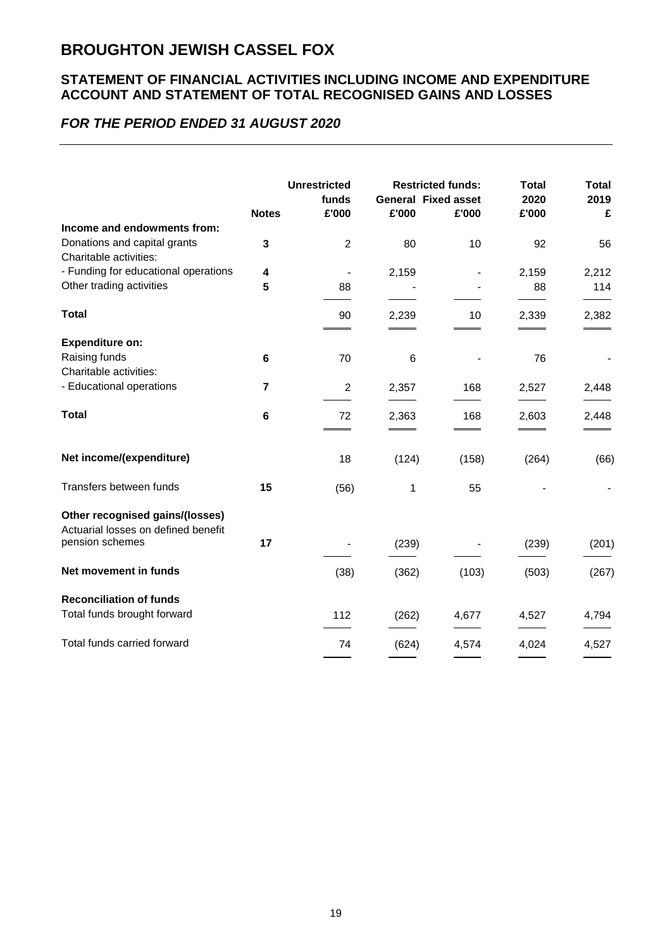### **STATEMENT OF FINANCIAL ACTIVITIES INCLUDING INCOME AND EXPENDITURE ACCOUNT AND STATEMENT OF TOTAL RECOGNISED GAINS AND LOSSES**

## *FOR THE PERIOD ENDED 31 AUGUST 2020*

|                                                                        | <b>Notes</b>   | <b>Unrestricted</b><br>funds<br>£'000 | £'000 | <b>Restricted funds:</b><br><b>General Fixed asset</b><br>£'000 | <b>Total</b><br>2020<br>£'000 | <b>Total</b><br>2019<br>£ |
|------------------------------------------------------------------------|----------------|---------------------------------------|-------|-----------------------------------------------------------------|-------------------------------|---------------------------|
| Income and endowments from:                                            |                |                                       |       |                                                                 |                               |                           |
| Donations and capital grants<br>Charitable activities:                 | 3              | $\overline{2}$                        | 80    | 10                                                              | 92                            | 56                        |
| - Funding for educational operations                                   | 4              | $\overline{\phantom{a}}$              | 2,159 |                                                                 | 2,159                         | 2,212                     |
| Other trading activities                                               | 5              | 88                                    |       |                                                                 | 88                            | 114                       |
| <b>Total</b>                                                           |                | 90                                    | 2,239 | 10                                                              | 2,339                         | 2,382                     |
| <b>Expenditure on:</b>                                                 |                |                                       |       |                                                                 |                               |                           |
| Raising funds<br>Charitable activities:                                | 6              | 70                                    | 6     |                                                                 | 76                            |                           |
| - Educational operations                                               | $\overline{7}$ | $\overline{2}$                        | 2,357 | 168                                                             | 2,527                         | 2,448                     |
| <b>Total</b>                                                           | 6              | 72                                    | 2,363 | 168                                                             | 2,603                         | 2,448                     |
| Net income/(expenditure)                                               |                | 18                                    | (124) | (158)                                                           | (264)                         | (66)                      |
| Transfers between funds                                                | 15             | (56)                                  | 1     | 55                                                              |                               |                           |
| Other recognised gains/(losses)<br>Actuarial losses on defined benefit |                |                                       |       |                                                                 |                               |                           |
| pension schemes                                                        | 17             |                                       | (239) |                                                                 | (239)                         | (201)                     |
| Net movement in funds                                                  |                | (38)                                  | (362) | (103)                                                           | (503)                         | (267)                     |
| <b>Reconciliation of funds</b>                                         |                |                                       |       |                                                                 |                               |                           |
| Total funds brought forward                                            |                | 112                                   | (262) | 4,677                                                           | 4,527                         | 4,794                     |
| Total funds carried forward                                            |                | 74                                    | (624) | 4,574                                                           | 4,024                         | 4,527                     |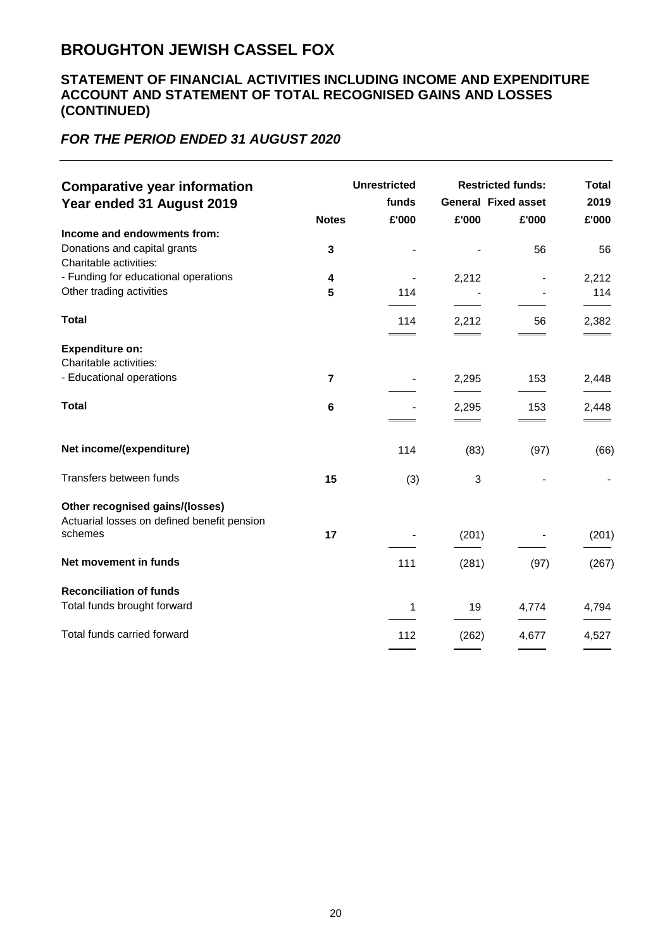### **STATEMENT OF FINANCIAL ACTIVITIES INCLUDING INCOME AND EXPENDITURE ACCOUNT AND STATEMENT OF TOTAL RECOGNISED GAINS AND LOSSES (CONTINUED)**

## *FOR THE PERIOD ENDED 31 AUGUST 2020*

| <b>Comparative year information</b><br>Year ended 31 August 2019 |                         | <b>Unrestricted</b><br>funds |       | <b>Restricted funds:</b><br><b>General Fixed asset</b> | <b>Total</b><br>2019 |
|------------------------------------------------------------------|-------------------------|------------------------------|-------|--------------------------------------------------------|----------------------|
|                                                                  | <b>Notes</b>            | £'000                        | £'000 | £'000                                                  | £'000                |
| Income and endowments from:<br>Donations and capital grants      | 3                       |                              |       | 56                                                     | 56                   |
| Charitable activities:                                           |                         |                              |       |                                                        |                      |
| - Funding for educational operations                             | 4                       |                              | 2,212 |                                                        | 2,212                |
| Other trading activities                                         | 5                       | 114                          |       |                                                        | 114                  |
| <b>Total</b>                                                     |                         | 114                          | 2,212 | 56                                                     | 2,382                |
| <b>Expenditure on:</b>                                           |                         |                              |       |                                                        |                      |
| Charitable activities:                                           |                         |                              |       |                                                        |                      |
| - Educational operations                                         | $\overline{\mathbf{r}}$ |                              | 2,295 | 153                                                    | 2,448                |
| <b>Total</b>                                                     | 6                       |                              |       |                                                        |                      |
|                                                                  |                         |                              | 2,295 | 153                                                    | 2,448                |
| Net income/(expenditure)                                         |                         | 114                          | (83)  | (97)                                                   | (66)                 |
| Transfers between funds                                          | 15                      | (3)                          | 3     |                                                        |                      |
| Other recognised gains/(losses)                                  |                         |                              |       |                                                        |                      |
| Actuarial losses on defined benefit pension<br>schemes           | 17                      |                              | (201) |                                                        | (201)                |
| Net movement in funds                                            |                         | 111                          | (281) | (97)                                                   | (267)                |
| <b>Reconciliation of funds</b>                                   |                         |                              |       |                                                        |                      |
| Total funds brought forward                                      |                         | 1                            | 19    | 4,774                                                  | 4,794                |
| Total funds carried forward                                      |                         | 112                          | (262) | 4,677                                                  | 4,527                |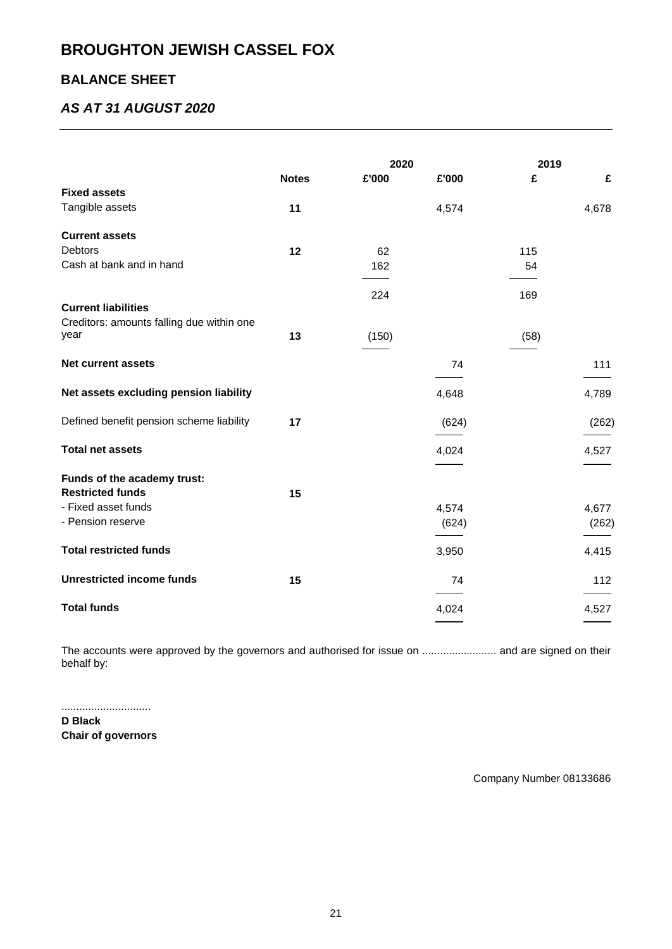## **BALANCE SHEET**

## *AS AT 31 AUGUST 2020*

|                                           |              | 2020  |       | 2019 |       |
|-------------------------------------------|--------------|-------|-------|------|-------|
|                                           | <b>Notes</b> | £'000 | £'000 | £    | £     |
| <b>Fixed assets</b>                       |              |       |       |      |       |
| Tangible assets                           | 11           |       | 4,574 |      | 4,678 |
| <b>Current assets</b>                     |              |       |       |      |       |
| <b>Debtors</b>                            | 12           | 62    |       | 115  |       |
| Cash at bank and in hand                  |              | 162   |       | 54   |       |
|                                           |              |       |       |      |       |
|                                           |              | 224   |       | 169  |       |
| <b>Current liabilities</b>                |              |       |       |      |       |
| Creditors: amounts falling due within one |              |       |       |      |       |
| year                                      | 13           | (150) |       | (58) |       |
| <b>Net current assets</b>                 |              |       | 74    |      | 111   |
|                                           |              |       |       |      |       |
| Net assets excluding pension liability    |              |       | 4,648 |      | 4,789 |
| Defined benefit pension scheme liability  | 17           |       | (624) |      | (262) |
|                                           |              |       |       |      |       |
| <b>Total net assets</b>                   |              |       | 4,024 |      | 4,527 |
| Funds of the academy trust:               |              |       |       |      |       |
| <b>Restricted funds</b>                   | 15           |       |       |      |       |
| - Fixed asset funds                       |              |       | 4,574 |      | 4,677 |
| - Pension reserve                         |              |       | (624) |      | (262) |
| <b>Total restricted funds</b>             |              |       | 3,950 |      | 4,415 |
| <b>Unrestricted income funds</b>          | 15           |       | 74    |      | 112   |
| <b>Total funds</b>                        |              |       | 4,024 |      | 4,527 |
|                                           |              |       |       |      |       |

The accounts were approved by the governors and authorised for issue on .............................. and are signed on their behalf by:

.............................. **D Black Chair of governors**

Company Number 08133686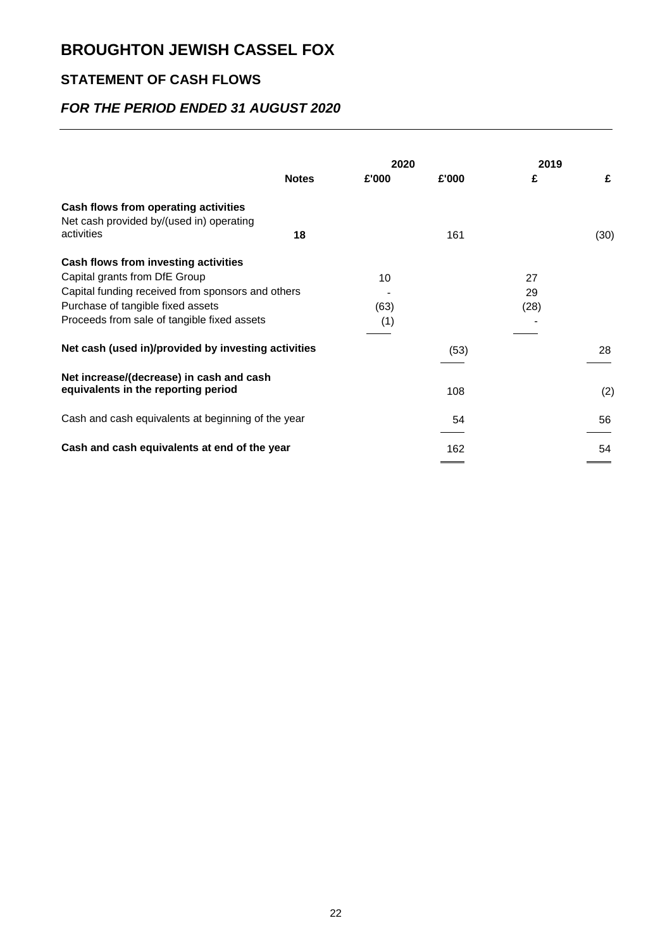## **STATEMENT OF CASH FLOWS**

## *FOR THE PERIOD ENDED 31 AUGUST 2020*

|                                                     |              | 2020  |       | 2019 |      |
|-----------------------------------------------------|--------------|-------|-------|------|------|
|                                                     | <b>Notes</b> | £'000 | £'000 | £    | £    |
| Cash flows from operating activities                |              |       |       |      |      |
| Net cash provided by/(used in) operating            |              |       |       |      |      |
| activities                                          | 18           |       | 161   |      | (30) |
| Cash flows from investing activities                |              |       |       |      |      |
| Capital grants from DfE Group                       |              | 10    |       | 27   |      |
| Capital funding received from sponsors and others   |              |       |       | 29   |      |
| Purchase of tangible fixed assets                   |              | (63)  |       | (28) |      |
| Proceeds from sale of tangible fixed assets         |              | (1)   |       |      |      |
|                                                     |              |       |       |      |      |
| Net cash (used in)/provided by investing activities |              |       | (53)  |      | 28   |
|                                                     |              |       |       |      |      |
| Net increase/(decrease) in cash and cash            |              |       |       |      |      |
| equivalents in the reporting period                 |              |       | 108   |      | (2)  |
| Cash and cash equivalents at beginning of the year  |              |       | 54    |      | 56   |
|                                                     |              |       |       |      |      |
| Cash and cash equivalents at end of the year        |              |       | 162   |      | 54   |
|                                                     |              |       |       |      |      |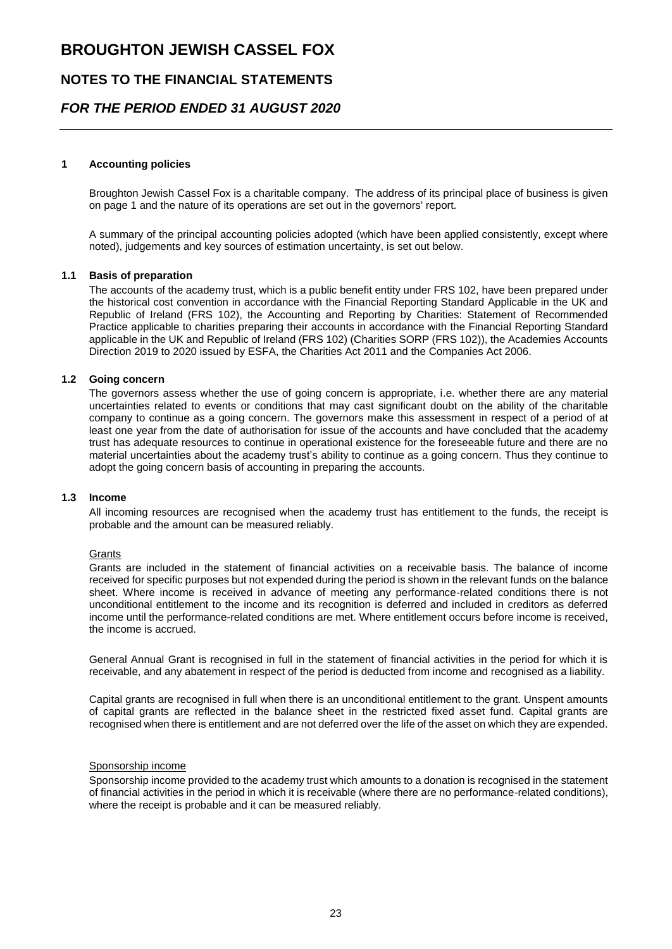### **NOTES TO THE FINANCIAL STATEMENTS**

### *FOR THE PERIOD ENDED 31 AUGUST 2020*

#### **1 Accounting policies**

Broughton Jewish Cassel Fox is a charitable company. The address of its principal place of business is given on page 1 and the nature of its operations are set out in the governors' report.

A summary of the principal accounting policies adopted (which have been applied consistently, except where noted), judgements and key sources of estimation uncertainty, is set out below.

#### **1.1 Basis of preparation**

The accounts of the academy trust, which is a public benefit entity under FRS 102, have been prepared under the historical cost convention in accordance with the Financial Reporting Standard Applicable in the UK and Republic of Ireland (FRS 102), the Accounting and Reporting by Charities: Statement of Recommended Practice applicable to charities preparing their accounts in accordance with the Financial Reporting Standard applicable in the UK and Republic of Ireland (FRS 102) (Charities SORP (FRS 102)), the Academies Accounts Direction 2019 to 2020 issued by ESFA, the Charities Act 2011 and the Companies Act 2006.

#### **1.2 Going concern**

The governors assess whether the use of going concern is appropriate, i.e. whether there are any material uncertainties related to events or conditions that may cast significant doubt on the ability of the charitable company to continue as a going concern. The governors make this assessment in respect of a period of at least one year from the date of authorisation for issue of the accounts and have concluded that the academy trust has adequate resources to continue in operational existence for the foreseeable future and there are no material uncertainties about the academy trust's ability to continue as a going concern. Thus they continue to adopt the going concern basis of accounting in preparing the accounts.

#### **1.3 Income**

All incoming resources are recognised when the academy trust has entitlement to the funds, the receipt is probable and the amount can be measured reliably.

#### **Grants**

Grants are included in the statement of financial activities on a receivable basis. The balance of income received for specific purposes but not expended during the period is shown in the relevant funds on the balance sheet. Where income is received in advance of meeting any performance-related conditions there is not unconditional entitlement to the income and its recognition is deferred and included in creditors as deferred income until the performance-related conditions are met. Where entitlement occurs before income is received, the income is accrued.

General Annual Grant is recognised in full in the statement of financial activities in the period for which it is receivable, and any abatement in respect of the period is deducted from income and recognised as a liability.

Capital grants are recognised in full when there is an unconditional entitlement to the grant. Unspent amounts of capital grants are reflected in the balance sheet in the restricted fixed asset fund. Capital grants are recognised when there is entitlement and are not deferred over the life of the asset on which they are expended.

#### Sponsorship income

Sponsorship income provided to the academy trust which amounts to a donation is recognised in the statement of financial activities in the period in which it is receivable (where there are no performance-related conditions), where the receipt is probable and it can be measured reliably.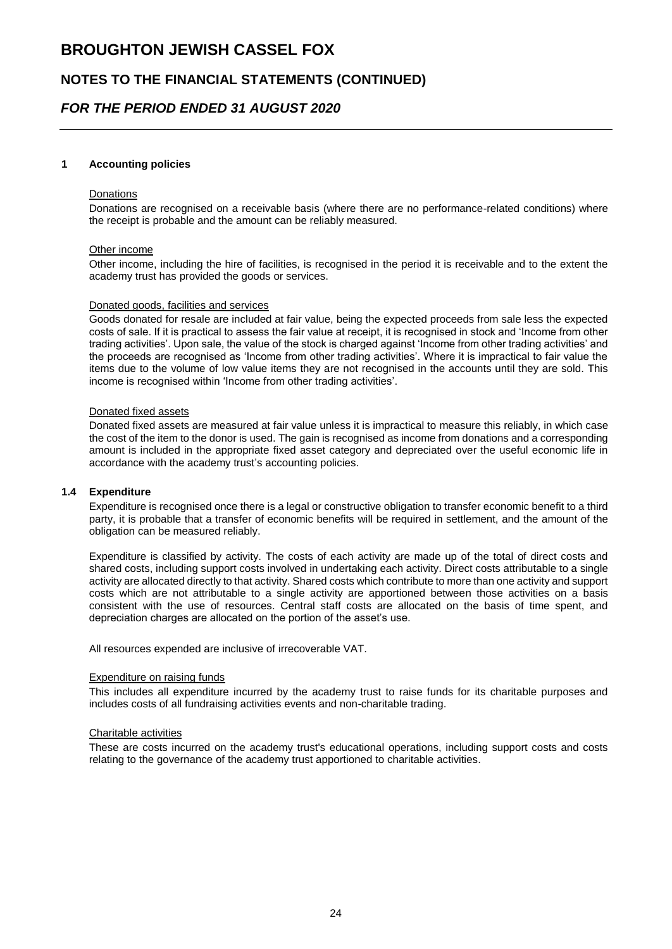### **NOTES TO THE FINANCIAL STATEMENTS (CONTINUED)**

### *FOR THE PERIOD ENDED 31 AUGUST 2020*

#### **1 Accounting policies**

#### Donations

Donations are recognised on a receivable basis (where there are no performance-related conditions) where the receipt is probable and the amount can be reliably measured.

#### Other income

Other income, including the hire of facilities, is recognised in the period it is receivable and to the extent the academy trust has provided the goods or services.

#### Donated goods, facilities and services

Goods donated for resale are included at fair value, being the expected proceeds from sale less the expected costs of sale. If it is practical to assess the fair value at receipt, it is recognised in stock and 'Income from other trading activities'. Upon sale, the value of the stock is charged against 'Income from other trading activities' and the proceeds are recognised as 'Income from other trading activities'. Where it is impractical to fair value the items due to the volume of low value items they are not recognised in the accounts until they are sold. This income is recognised within 'Income from other trading activities'.

#### Donated fixed assets

Donated fixed assets are measured at fair value unless it is impractical to measure this reliably, in which case the cost of the item to the donor is used. The gain is recognised as income from donations and a corresponding amount is included in the appropriate fixed asset category and depreciated over the useful economic life in accordance with the academy trust's accounting policies.

#### **1.4 Expenditure**

Expenditure is recognised once there is a legal or constructive obligation to transfer economic benefit to a third party, it is probable that a transfer of economic benefits will be required in settlement, and the amount of the obligation can be measured reliably.

Expenditure is classified by activity. The costs of each activity are made up of the total of direct costs and shared costs, including support costs involved in undertaking each activity. Direct costs attributable to a single activity are allocated directly to that activity. Shared costs which contribute to more than one activity and support costs which are not attributable to a single activity are apportioned between those activities on a basis consistent with the use of resources. Central staff costs are allocated on the basis of time spent, and depreciation charges are allocated on the portion of the asset's use.

All resources expended are inclusive of irrecoverable VAT.

#### Expenditure on raising funds

This includes all expenditure incurred by the academy trust to raise funds for its charitable purposes and includes costs of all fundraising activities events and non-charitable trading.

#### Charitable activities

These are costs incurred on the academy trust's educational operations, including support costs and costs relating to the governance of the academy trust apportioned to charitable activities.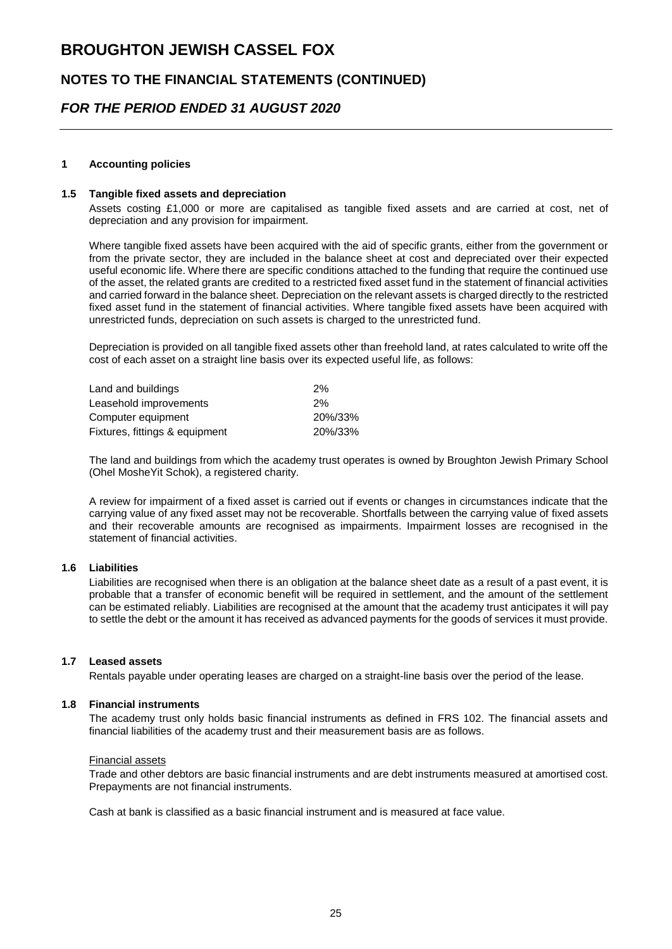### **NOTES TO THE FINANCIAL STATEMENTS (CONTINUED)**

### *FOR THE PERIOD ENDED 31 AUGUST 2020*

#### **1 Accounting policies**

#### **1.5 Tangible fixed assets and depreciation**

Assets costing £1,000 or more are capitalised as tangible fixed assets and are carried at cost, net of depreciation and any provision for impairment.

Where tangible fixed assets have been acquired with the aid of specific grants, either from the government or from the private sector, they are included in the balance sheet at cost and depreciated over their expected useful economic life. Where there are specific conditions attached to the funding that require the continued use of the asset, the related grants are credited to a restricted fixed asset fund in the statement of financial activities and carried forward in the balance sheet. Depreciation on the relevant assets is charged directly to the restricted fixed asset fund in the statement of financial activities. Where tangible fixed assets have been acquired with unrestricted funds, depreciation on such assets is charged to the unrestricted fund.

Depreciation is provided on all tangible fixed assets other than freehold land, at rates calculated to write off the cost of each asset on a straight line basis over its expected useful life, as follows:

| Land and buildings             | 2%      |
|--------------------------------|---------|
| Leasehold improvements         | 2%      |
| Computer equipment             | 20%/33% |
| Fixtures, fittings & equipment | 20%/33% |

The land and buildings from which the academy trust operates is owned by Broughton Jewish Primary School (Ohel MosheYit Schok), a registered charity.

A review for impairment of a fixed asset is carried out if events or changes in circumstances indicate that the carrying value of any fixed asset may not be recoverable. Shortfalls between the carrying value of fixed assets and their recoverable amounts are recognised as impairments. Impairment losses are recognised in the statement of financial activities.

#### **1.6 Liabilities**

Liabilities are recognised when there is an obligation at the balance sheet date as a result of a past event, it is probable that a transfer of economic benefit will be required in settlement, and the amount of the settlement can be estimated reliably. Liabilities are recognised at the amount that the academy trust anticipates it will pay to settle the debt or the amount it has received as advanced payments for the goods of services it must provide.

#### **1.7 Leased assets**

Rentals payable under operating leases are charged on a straight-line basis over the period of the lease.

#### **1.8 Financial instruments**

The academy trust only holds basic financial instruments as defined in FRS 102. The financial assets and financial liabilities of the academy trust and their measurement basis are as follows.

#### Financial assets

Trade and other debtors are basic financial instruments and are debt instruments measured at amortised cost. Prepayments are not financial instruments.

Cash at bank is classified as a basic financial instrument and is measured at face value.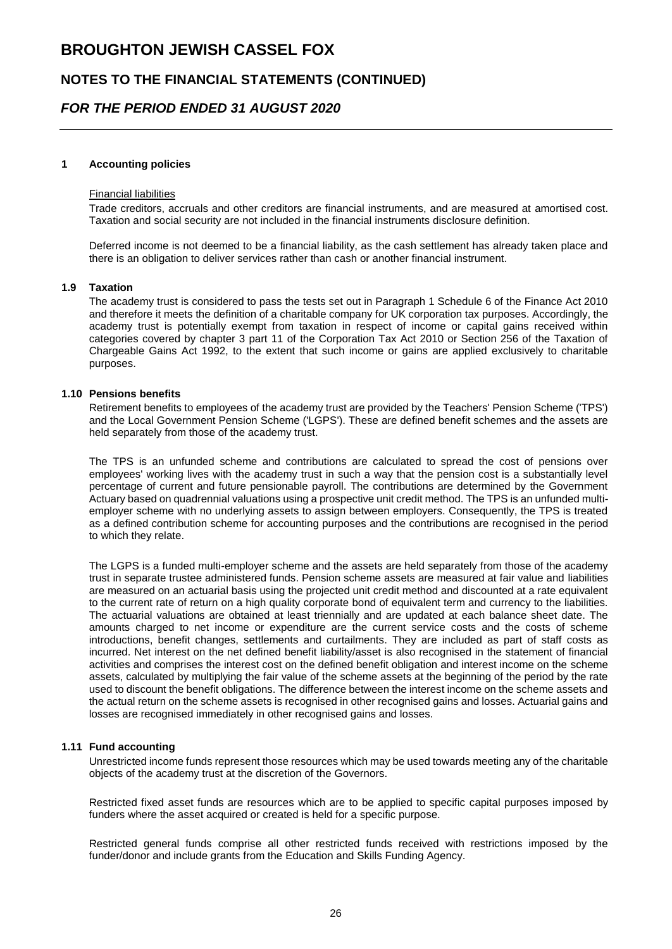### **NOTES TO THE FINANCIAL STATEMENTS (CONTINUED)**

### *FOR THE PERIOD ENDED 31 AUGUST 2020*

#### **1 Accounting policies**

#### Financial liabilities

Trade creditors, accruals and other creditors are financial instruments, and are measured at amortised cost. Taxation and social security are not included in the financial instruments disclosure definition.

Deferred income is not deemed to be a financial liability, as the cash settlement has already taken place and there is an obligation to deliver services rather than cash or another financial instrument.

#### **1.9 Taxation**

The academy trust is considered to pass the tests set out in Paragraph 1 Schedule 6 of the Finance Act 2010 and therefore it meets the definition of a charitable company for UK corporation tax purposes. Accordingly, the academy trust is potentially exempt from taxation in respect of income or capital gains received within categories covered by chapter 3 part 11 of the Corporation Tax Act 2010 or Section 256 of the Taxation of Chargeable Gains Act 1992, to the extent that such income or gains are applied exclusively to charitable purposes.

#### **1.10 Pensions benefits**

Retirement benefits to employees of the academy trust are provided by the Teachers' Pension Scheme ('TPS') and the Local Government Pension Scheme ('LGPS'). These are defined benefit schemes and the assets are held separately from those of the academy trust.

The TPS is an unfunded scheme and contributions are calculated to spread the cost of pensions over employees' working lives with the academy trust in such a way that the pension cost is a substantially level percentage of current and future pensionable payroll. The contributions are determined by the Government Actuary based on quadrennial valuations using a prospective unit credit method. The TPS is an unfunded multiemployer scheme with no underlying assets to assign between employers. Consequently, the TPS is treated as a defined contribution scheme for accounting purposes and the contributions are recognised in the period to which they relate.

The LGPS is a funded multi-employer scheme and the assets are held separately from those of the academy trust in separate trustee administered funds. Pension scheme assets are measured at fair value and liabilities are measured on an actuarial basis using the projected unit credit method and discounted at a rate equivalent to the current rate of return on a high quality corporate bond of equivalent term and currency to the liabilities. The actuarial valuations are obtained at least triennially and are updated at each balance sheet date. The amounts charged to net income or expenditure are the current service costs and the costs of scheme introductions, benefit changes, settlements and curtailments. They are included as part of staff costs as incurred. Net interest on the net defined benefit liability/asset is also recognised in the statement of financial activities and comprises the interest cost on the defined benefit obligation and interest income on the scheme assets, calculated by multiplying the fair value of the scheme assets at the beginning of the period by the rate used to discount the benefit obligations. The difference between the interest income on the scheme assets and the actual return on the scheme assets is recognised in other recognised gains and losses. Actuarial gains and losses are recognised immediately in other recognised gains and losses.

#### **1.11 Fund accounting**

Unrestricted income funds represent those resources which may be used towards meeting any of the charitable objects of the academy trust at the discretion of the Governors.

Restricted fixed asset funds are resources which are to be applied to specific capital purposes imposed by funders where the asset acquired or created is held for a specific purpose.

Restricted general funds comprise all other restricted funds received with restrictions imposed by the funder/donor and include grants from the Education and Skills Funding Agency.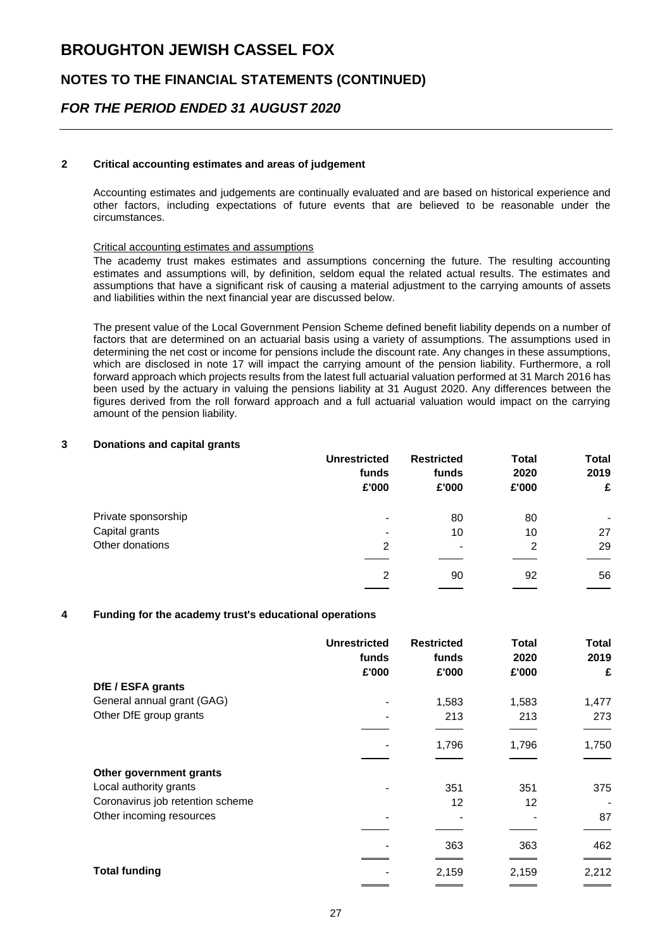### **NOTES TO THE FINANCIAL STATEMENTS (CONTINUED)**

### *FOR THE PERIOD ENDED 31 AUGUST 2020*

#### **2 Critical accounting estimates and areas of judgement**

Accounting estimates and judgements are continually evaluated and are based on historical experience and other factors, including expectations of future events that are believed to be reasonable under the circumstances.

#### Critical accounting estimates and assumptions

The academy trust makes estimates and assumptions concerning the future. The resulting accounting estimates and assumptions will, by definition, seldom equal the related actual results. The estimates and assumptions that have a significant risk of causing a material adjustment to the carrying amounts of assets and liabilities within the next financial year are discussed below.

The present value of the Local Government Pension Scheme defined benefit liability depends on a number of factors that are determined on an actuarial basis using a variety of assumptions. The assumptions used in determining the net cost or income for pensions include the discount rate. Any changes in these assumptions, which are disclosed in note 17 will impact the carrying amount of the pension liability. Furthermore, a roll forward approach which projects results from the latest full actuarial valuation performed at 31 March 2016 has been used by the actuary in valuing the pensions liability at 31 August 2020. Any differences between the figures derived from the roll forward approach and a full actuarial valuation would impact on the carrying amount of the pension liability.

#### **3 Donations and capital grants**

|                     | <b>Unrestricted</b><br>funds<br>£'000 | <b>Restricted</b><br>funds<br>£'000 | <b>Total</b><br>2020<br>£'000 | <b>Total</b><br>2019<br>£ |
|---------------------|---------------------------------------|-------------------------------------|-------------------------------|---------------------------|
| Private sponsorship | $\blacksquare$                        | 80                                  | 80                            |                           |
| Capital grants      | $\blacksquare$                        | 10                                  | 10                            | 27                        |
| Other donations     | 2                                     | $\qquad \qquad \blacksquare$        | 2                             | 29                        |
|                     | 2                                     | 90                                  | 92                            | 56                        |

#### **4 Funding for the academy trust's educational operations**

|                                  | <b>Unrestricted</b><br>funds<br>£'000 | <b>Restricted</b><br>funds<br>£'000 | Total<br>2020<br>£'000 | <b>Total</b><br>2019<br>£ |
|----------------------------------|---------------------------------------|-------------------------------------|------------------------|---------------------------|
| DfE / ESFA grants                |                                       |                                     |                        |                           |
| General annual grant (GAG)       |                                       | 1,583                               | 1,583                  | 1,477                     |
| Other DfE group grants           | $\overline{\phantom{0}}$              | 213                                 | 213                    | 273                       |
|                                  |                                       |                                     |                        |                           |
|                                  |                                       | 1,796                               | 1,796                  | 1,750                     |
|                                  |                                       |                                     |                        |                           |
| Other government grants          |                                       |                                     |                        |                           |
| Local authority grants           |                                       | 351                                 | 351                    | 375                       |
| Coronavirus job retention scheme |                                       | 12                                  | 12                     |                           |
| Other incoming resources         |                                       |                                     |                        | 87                        |
|                                  |                                       |                                     |                        |                           |
|                                  |                                       | 363                                 | 363                    | 462                       |
| <b>Total funding</b>             |                                       | 2,159                               | 2,159                  | 2,212                     |
|                                  |                                       |                                     |                        |                           |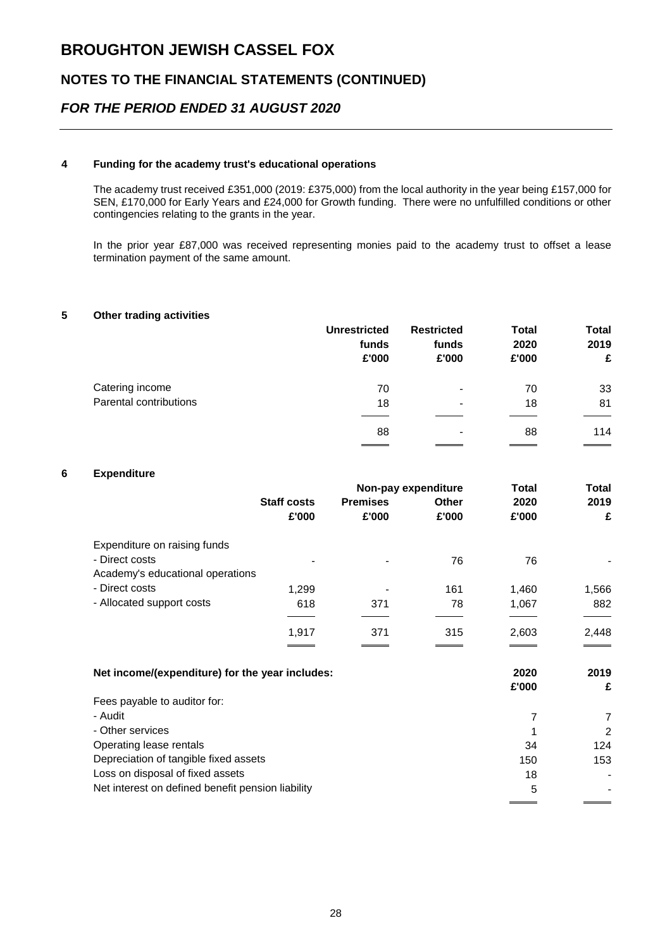## **NOTES TO THE FINANCIAL STATEMENTS (CONTINUED)**

## *FOR THE PERIOD ENDED 31 AUGUST 2020*

#### **4 Funding for the academy trust's educational operations**

The academy trust received £351,000 (2019: £375,000) from the local authority in the year being £157,000 for SEN, £170,000 for Early Years and £24,000 for Growth funding. There were no unfulfilled conditions or other contingencies relating to the grants in the year.

In the prior year £87,000 was received representing monies paid to the academy trust to offset a lease termination payment of the same amount.

#### **5 Other trading activities**

|                        | <b>Unrestricted</b><br>funds<br>£'000 | <b>Restricted</b><br>funds<br>£'000 | <b>Total</b><br>2020<br>£'000 | <b>Total</b><br>2019<br>£ |
|------------------------|---------------------------------------|-------------------------------------|-------------------------------|---------------------------|
| Catering income        | 70                                    | $\blacksquare$                      | 70                            | 33                        |
| Parental contributions | 18                                    | $\qquad \qquad$                     | 18                            | 81                        |
|                        | 88                                    | $\qquad \qquad$                     | 88                            | 114                       |

#### **6 Expenditure**

|                                                   |                    |                 | Non-pay expenditure | Total | Total          |
|---------------------------------------------------|--------------------|-----------------|---------------------|-------|----------------|
|                                                   | <b>Staff costs</b> | <b>Premises</b> | <b>Other</b>        | 2020  | 2019           |
|                                                   | £'000              | £'000           | £'000               | £'000 | £              |
| Expenditure on raising funds                      |                    |                 |                     |       |                |
| - Direct costs                                    |                    |                 | 76                  | 76    |                |
| Academy's educational operations                  |                    |                 |                     |       |                |
| - Direct costs                                    | 1,299              |                 | 161                 | 1,460 | 1,566          |
| - Allocated support costs                         | 618                | 371             | 78                  | 1,067 | 882            |
|                                                   |                    |                 |                     |       |                |
|                                                   | 1,917              | 371             | 315                 | 2,603 | 2,448          |
|                                                   |                    |                 |                     |       |                |
| Net income/(expenditure) for the year includes:   |                    |                 |                     | 2020  | 2019           |
|                                                   |                    |                 |                     | £'000 | £              |
| Fees payable to auditor for:                      |                    |                 |                     |       |                |
| - Audit                                           |                    |                 |                     | 7     | $\overline{7}$ |
| - Other services                                  |                    |                 |                     |       | 2              |
| Operating lease rentals                           |                    |                 |                     | 34    | 124            |
| Depreciation of tangible fixed assets             |                    |                 |                     | 150   | 153            |
| Loss on disposal of fixed assets                  |                    |                 |                     | 18    |                |
| Net interest on defined benefit pension liability |                    |                 |                     | 5     |                |
|                                                   |                    |                 |                     |       |                |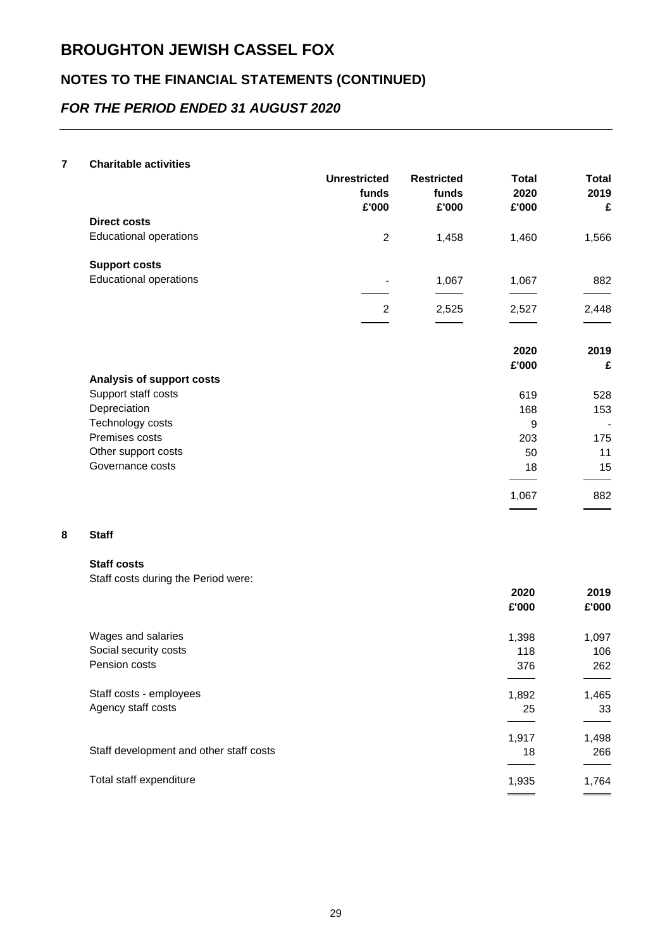## **NOTES TO THE FINANCIAL STATEMENTS (CONTINUED)**

## *FOR THE PERIOD ENDED 31 AUGUST 2020*

#### **7 Charitable activities**

|                               | <b>Unrestricted</b><br>funds<br>£'000 | <b>Restricted</b><br>funds<br>£'000 | <b>Total</b><br>2020<br>£'000 | Total<br>2019<br>£ |
|-------------------------------|---------------------------------------|-------------------------------------|-------------------------------|--------------------|
| <b>Direct costs</b>           |                                       |                                     |                               |                    |
| <b>Educational operations</b> | 2                                     | 1,458                               | 1,460                         | 1,566              |
| <b>Support costs</b>          |                                       |                                     |                               |                    |
| <b>Educational operations</b> |                                       | 1,067                               | 1,067                         | 882                |
|                               | 2                                     | 2,525                               | 2,527                         | 2,448              |
|                               |                                       |                                     |                               |                    |
|                               |                                       |                                     | 2020                          | 2019               |
|                               |                                       |                                     | £'000                         | £                  |
| Analysis of support costs     |                                       |                                     |                               |                    |
| Support staff costs           |                                       |                                     | 619                           | 528                |
| Depreciation                  |                                       |                                     | 168                           | 153                |
| Technology costs              |                                       |                                     | 9                             | $\overline{a}$     |
| Premises costs                |                                       |                                     | 203                           | 175                |
| Other support costs           |                                       |                                     | 50                            | 11                 |
| Governance costs              |                                       |                                     | 18                            | 15                 |
|                               |                                       |                                     | 1,067                         | 882                |

#### **8 Staff**

#### **Staff costs**

Staff costs during the Period were:

|                                         | 2020  | 2019                     |
|-----------------------------------------|-------|--------------------------|
|                                         | £'000 | £'000                    |
| Wages and salaries                      | 1,398 | 1,097                    |
| Social security costs                   | 118   | 106                      |
| Pension costs                           | 376   | 262                      |
| Staff costs - employees                 | 1,892 | 1,465                    |
| Agency staff costs                      | 25    | 33                       |
|                                         | 1,917 | 1,498                    |
| Staff development and other staff costs | 18    | 266                      |
| Total staff expenditure                 | 1,935 | 1,764                    |
|                                         |       | $\overline{\phantom{a}}$ |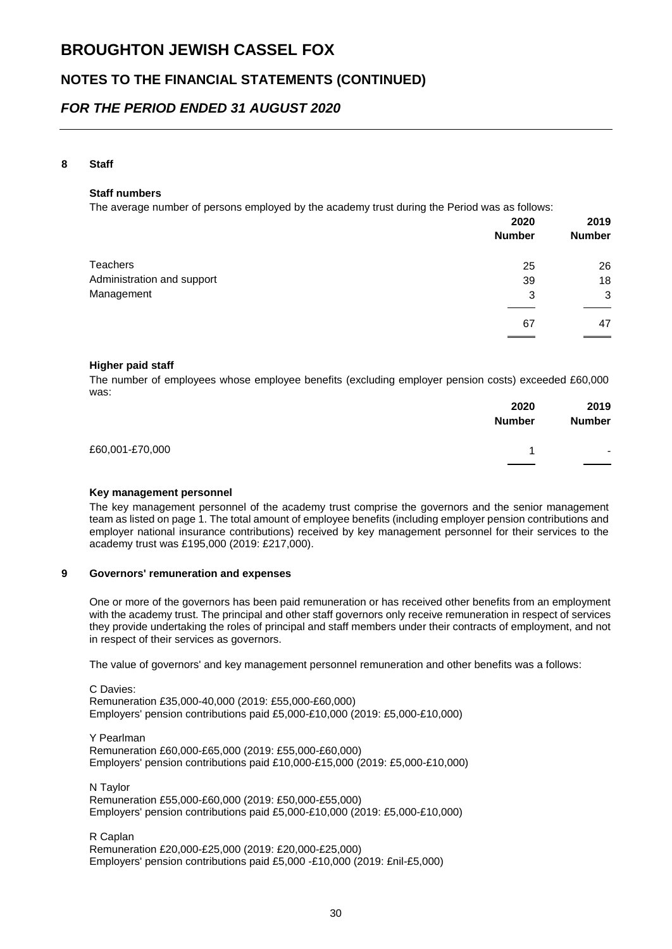## **NOTES TO THE FINANCIAL STATEMENTS (CONTINUED)**

### *FOR THE PERIOD ENDED 31 AUGUST 2020*

#### **8 Staff**

#### **Staff numbers**

The average number of persons employed by the academy trust during the Period was as follows:

|                            | 2020<br><b>Number</b> | 2019<br><b>Number</b> |
|----------------------------|-----------------------|-----------------------|
|                            |                       |                       |
| <b>Teachers</b>            | 25                    | 26                    |
| Administration and support | 39                    | 18                    |
| Management                 | 3                     | 3                     |
|                            | 67                    | 47                    |
|                            |                       |                       |

#### **Higher paid staff**

The number of employees whose employee benefits (excluding employer pension costs) exceeded £60,000 was:

|                 | 2020<br><b>Number</b> | 2019<br><b>Number</b>           |
|-----------------|-----------------------|---------------------------------|
| £60,001-£70,000 |                       | $\overline{\phantom{a}}$<br>___ |

#### **Key management personnel**

The key management personnel of the academy trust comprise the governors and the senior management team as listed on page 1. The total amount of employee benefits (including employer pension contributions and employer national insurance contributions) received by key management personnel for their services to the academy trust was £195,000 (2019: £217,000).

#### **9 Governors' remuneration and expenses**

One or more of the governors has been paid remuneration or has received other benefits from an employment with the academy trust. The principal and other staff governors only receive remuneration in respect of services they provide undertaking the roles of principal and staff members under their contracts of employment, and not in respect of their services as governors.

The value of governors' and key management personnel remuneration and other benefits was a follows:

C Davies: Remuneration £35,000-40,000 (2019: £55,000-£60,000) Employers' pension contributions paid £5,000-£10,000 (2019: £5,000-£10,000)

Y Pearlman Remuneration £60,000-£65,000 (2019: £55,000-£60,000) Employers' pension contributions paid £10,000-£15,000 (2019: £5,000-£10,000)

N Taylor Remuneration £55,000-£60,000 (2019: £50,000-£55,000) Employers' pension contributions paid £5,000-£10,000 (2019: £5,000-£10,000)

R Caplan Remuneration £20,000-£25,000 (2019: £20,000-£25,000) Employers' pension contributions paid £5,000 -£10,000 (2019: £nil-£5,000)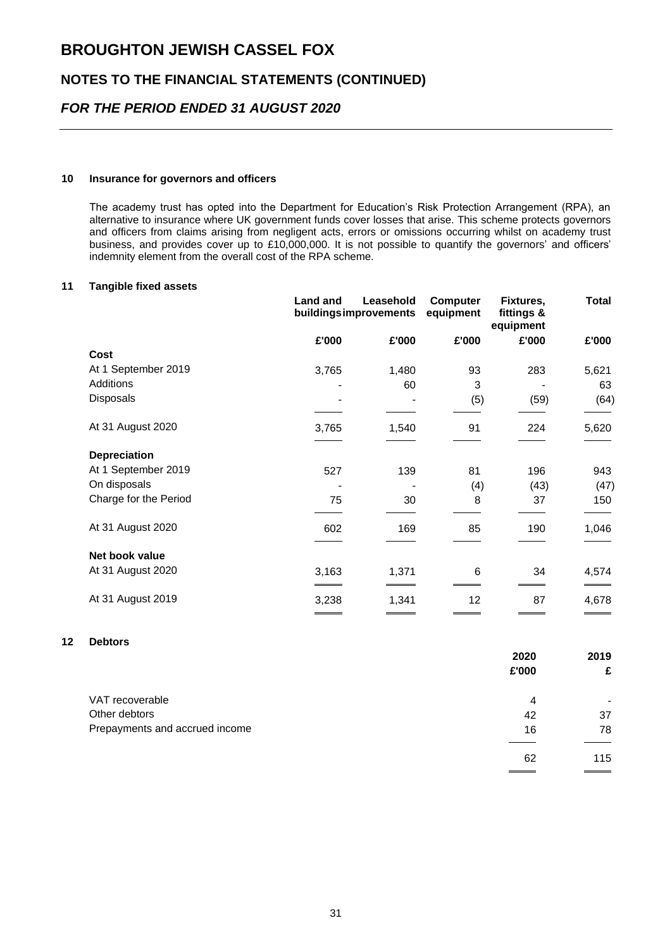## **NOTES TO THE FINANCIAL STATEMENTS (CONTINUED)**

## *FOR THE PERIOD ENDED 31 AUGUST 2020*

#### **10 Insurance for governors and officers**

The academy trust has opted into the Department for Education's Risk Protection Arrangement (RPA), an alternative to insurance where UK government funds cover losses that arise. This scheme protects governors and officers from claims arising from negligent acts, errors or omissions occurring whilst on academy trust business, and provides cover up to £10,000,000. It is not possible to quantify the governors' and officers' indemnity element from the overall cost of the RPA scheme.

#### **11 Tangible fixed assets**

|                       | Land and | Leasehold<br>buildingsimprovements | <b>Computer</b><br>equipment | Fixtures,<br>fittings &<br>equipment | Total |
|-----------------------|----------|------------------------------------|------------------------------|--------------------------------------|-------|
|                       | £'000    | £'000                              | £'000                        | £'000                                | £'000 |
| Cost                  |          |                                    |                              |                                      |       |
| At 1 September 2019   | 3,765    | 1,480                              | 93                           | 283                                  | 5,621 |
| <b>Additions</b>      |          | 60                                 | 3                            |                                      | 63    |
| Disposals             |          |                                    | (5)                          | (59)                                 | (64)  |
| At 31 August 2020     | 3,765    | 1,540                              | 91                           | 224                                  | 5,620 |
| <b>Depreciation</b>   |          |                                    |                              |                                      |       |
| At 1 September 2019   | 527      | 139                                | 81                           | 196                                  | 943   |
| On disposals          |          |                                    | (4)                          | (43)                                 | (47)  |
| Charge for the Period | 75       | 30                                 | 8                            | 37                                   | 150   |
| At 31 August 2020     | 602      | 169                                | 85                           | 190                                  | 1,046 |
| Net book value        |          |                                    |                              |                                      |       |
| At 31 August 2020     | 3,163    | 1,371                              | 6                            | 34                                   | 4,574 |
| At 31 August 2019     | 3,238    | 1,341                              | 12                           | 87                                   | 4,678 |

#### **12 Debtors**

|                                | 2020  | 2019 |
|--------------------------------|-------|------|
|                                | £'000 | £    |
| VAT recoverable                | 4     |      |
| Other debtors                  | 42    | 37   |
| Prepayments and accrued income | 16    | 78   |
|                                | 62    | 115  |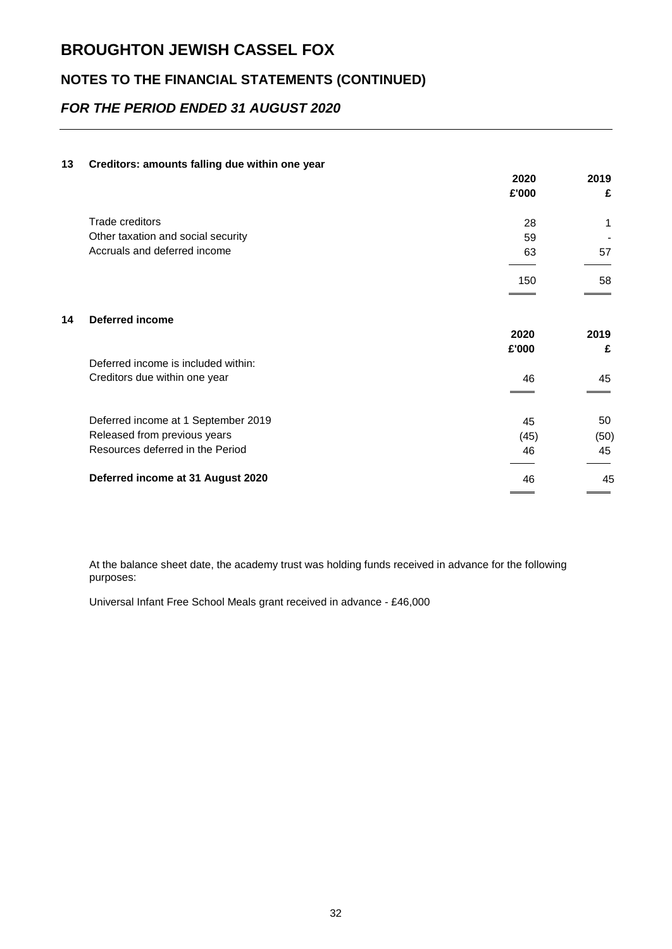## **NOTES TO THE FINANCIAL STATEMENTS (CONTINUED)**

## *FOR THE PERIOD ENDED 31 AUGUST 2020*

#### **13 Creditors: amounts falling due within one year**

|    |                                     | 2020  | 2019 |
|----|-------------------------------------|-------|------|
|    |                                     | £'000 | £    |
|    | <b>Trade creditors</b>              | 28    | 1    |
|    | Other taxation and social security  | 59    |      |
|    | Accruals and deferred income        | 63    | 57   |
|    |                                     | 150   | 58   |
|    |                                     |       |      |
| 14 | <b>Deferred income</b>              |       |      |
|    |                                     | 2020  | 2019 |
|    |                                     | £'000 | £    |
|    | Deferred income is included within: |       |      |
|    | Creditors due within one year       | 46    | 45   |
|    |                                     |       |      |
|    | Deferred income at 1 September 2019 | 45    | 50   |
|    | Released from previous years        | (45)  | (50) |
|    | Resources deferred in the Period    | 46    | 45   |
|    | Deferred income at 31 August 2020   | 46    | 45   |
|    |                                     |       |      |

At the balance sheet date, the academy trust was holding funds received in advance for the following purposes:

Universal Infant Free School Meals grant received in advance - £46,000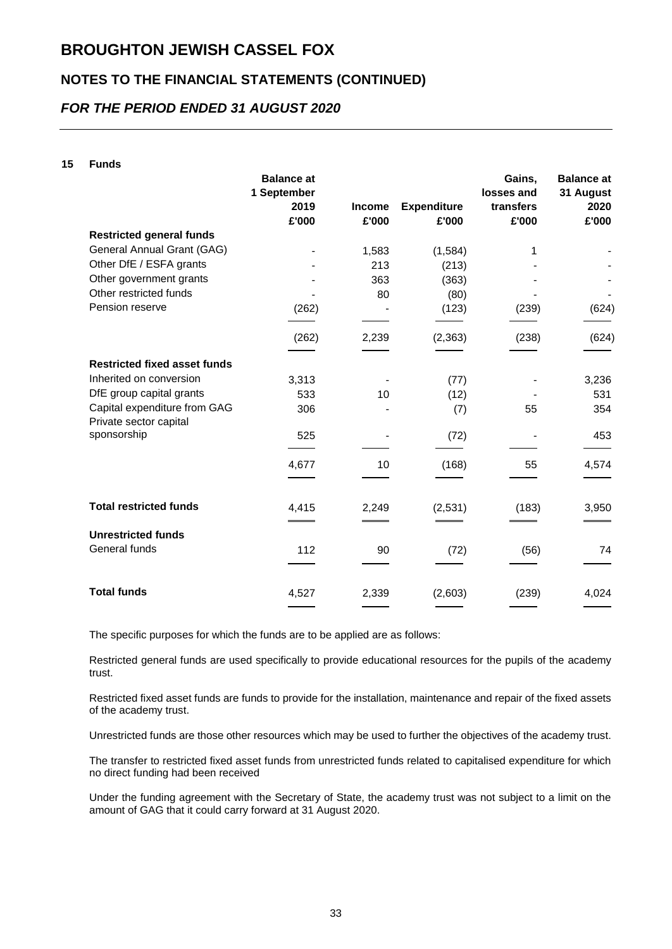## **NOTES TO THE FINANCIAL STATEMENTS (CONTINUED)**

## *FOR THE PERIOD ENDED 31 AUGUST 2020*

#### **15 Funds**

|                                                        | <b>Balance at</b><br>1 September<br>2019 | <b>Income</b> | <b>Expenditure</b> | Gains,<br>losses and<br>transfers | <b>Balance at</b><br>31 August<br>2020 |
|--------------------------------------------------------|------------------------------------------|---------------|--------------------|-----------------------------------|----------------------------------------|
|                                                        | £'000                                    | £'000         | £'000              | £'000                             | £'000                                  |
| <b>Restricted general funds</b>                        |                                          |               |                    |                                   |                                        |
| General Annual Grant (GAG)                             |                                          | 1,583         | (1, 584)           | 1                                 |                                        |
| Other DfE / ESFA grants                                |                                          | 213           | (213)              |                                   |                                        |
| Other government grants                                |                                          | 363           | (363)              |                                   |                                        |
| Other restricted funds                                 |                                          | 80            | (80)               |                                   |                                        |
| Pension reserve                                        | (262)                                    |               | (123)              | (239)                             | (624)                                  |
|                                                        | (262)                                    | 2,239         | (2, 363)           | (238)                             | (624)                                  |
| <b>Restricted fixed asset funds</b>                    |                                          |               |                    |                                   |                                        |
| Inherited on conversion                                | 3,313                                    |               | (77)               |                                   | 3,236                                  |
| DfE group capital grants                               | 533                                      | 10            | (12)               |                                   | 531                                    |
| Capital expenditure from GAG<br>Private sector capital | 306                                      |               | (7)                | 55                                | 354                                    |
| sponsorship                                            | 525                                      |               | (72)               |                                   | 453                                    |
|                                                        | 4,677                                    | 10            | (168)              | 55                                | 4,574                                  |
| <b>Total restricted funds</b>                          | 4,415                                    | 2,249         | (2,531)            | (183)                             | 3,950                                  |
| <b>Unrestricted funds</b>                              |                                          |               |                    |                                   |                                        |
| General funds                                          | 112                                      | 90            | (72)               | (56)                              | 74                                     |
| <b>Total funds</b>                                     | 4,527                                    | 2,339         | (2,603)            | (239)                             | 4,024                                  |

The specific purposes for which the funds are to be applied are as follows:

Restricted general funds are used specifically to provide educational resources for the pupils of the academy trust.

Restricted fixed asset funds are funds to provide for the installation, maintenance and repair of the fixed assets of the academy trust.

Unrestricted funds are those other resources which may be used to further the objectives of the academy trust.

The transfer to restricted fixed asset funds from unrestricted funds related to capitalised expenditure for which no direct funding had been received

Under the funding agreement with the Secretary of State, the academy trust was not subject to a limit on the amount of GAG that it could carry forward at 31 August 2020.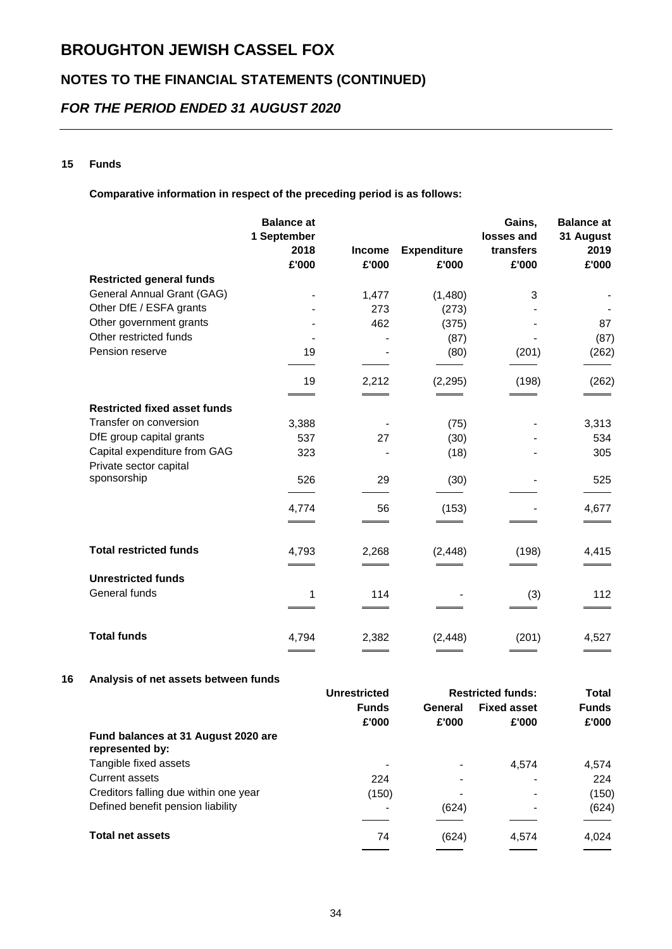## **NOTES TO THE FINANCIAL STATEMENTS (CONTINUED)**

## *FOR THE PERIOD ENDED 31 AUGUST 2020*

#### **15 Funds**

**Comparative information in respect of the preceding period is as follows:**

|                                                        | <b>Balance at</b><br>1 September<br>2018<br>£'000 | <b>Income</b><br>£'000 | <b>Expenditure</b><br>£'000 | Gains,<br>losses and<br>transfers<br>£'000 | <b>Balance at</b><br>31 August<br>2019<br>£'000 |
|--------------------------------------------------------|---------------------------------------------------|------------------------|-----------------------------|--------------------------------------------|-------------------------------------------------|
| <b>Restricted general funds</b>                        |                                                   |                        |                             |                                            |                                                 |
| General Annual Grant (GAG)                             |                                                   | 1,477                  | (1,480)                     | 3                                          |                                                 |
| Other DfE / ESFA grants                                |                                                   | 273                    | (273)                       |                                            |                                                 |
| Other government grants                                |                                                   | 462                    | (375)                       |                                            | 87                                              |
| Other restricted funds                                 |                                                   |                        | (87)                        |                                            | (87)                                            |
| Pension reserve                                        | 19                                                |                        | (80)                        | (201)                                      | (262)                                           |
|                                                        | 19                                                | 2,212                  | (2, 295)                    | (198)                                      | (262)                                           |
| <b>Restricted fixed asset funds</b>                    |                                                   |                        |                             |                                            |                                                 |
| Transfer on conversion                                 | 3,388                                             |                        | (75)                        |                                            | 3,313                                           |
| DfE group capital grants                               | 537                                               | 27                     | (30)                        |                                            | 534                                             |
| Capital expenditure from GAG<br>Private sector capital | 323                                               |                        | (18)                        |                                            | 305                                             |
| sponsorship                                            | 526                                               | 29                     | (30)                        |                                            | 525                                             |
|                                                        | 4,774                                             | 56                     | (153)                       |                                            | 4,677                                           |
|                                                        |                                                   |                        |                             |                                            |                                                 |
| <b>Total restricted funds</b>                          | 4,793                                             | 2,268                  | (2, 448)                    | (198)                                      | 4,415                                           |
| <b>Unrestricted funds</b>                              |                                                   |                        |                             |                                            |                                                 |
| General funds                                          | 1                                                 | 114                    |                             | (3)                                        | 112                                             |
| <b>Total funds</b>                                     | 4,794                                             | 2,382                  | (2, 448)                    | (201)                                      | 4,527                                           |

#### **16 Analysis of net assets between funds**

|                                                        | <b>Unrestricted</b>          | <b>Restricted funds:</b> |                    | <b>Total</b> |              |
|--------------------------------------------------------|------------------------------|--------------------------|--------------------|--------------|--------------|
|                                                        | <b>Funds</b>                 | General                  | <b>Fixed asset</b> |              | <b>Funds</b> |
|                                                        | £'000                        | £'000                    | £'000              | £'000        |              |
| Fund balances at 31 August 2020 are<br>represented by: |                              |                          |                    |              |              |
| Tangible fixed assets                                  | $\qquad \qquad \blacksquare$ |                          | 4.574              | 4,574        |              |
| Current assets                                         | 224                          |                          |                    | 224          |              |
| Creditors falling due within one year                  | (150)                        | ۰                        | $\blacksquare$     | (150)        |              |
| Defined benefit pension liability                      | -                            | (624)                    |                    | (624)        |              |
| <b>Total net assets</b>                                | 74                           | (624)                    | 4,574              | 4.024        |              |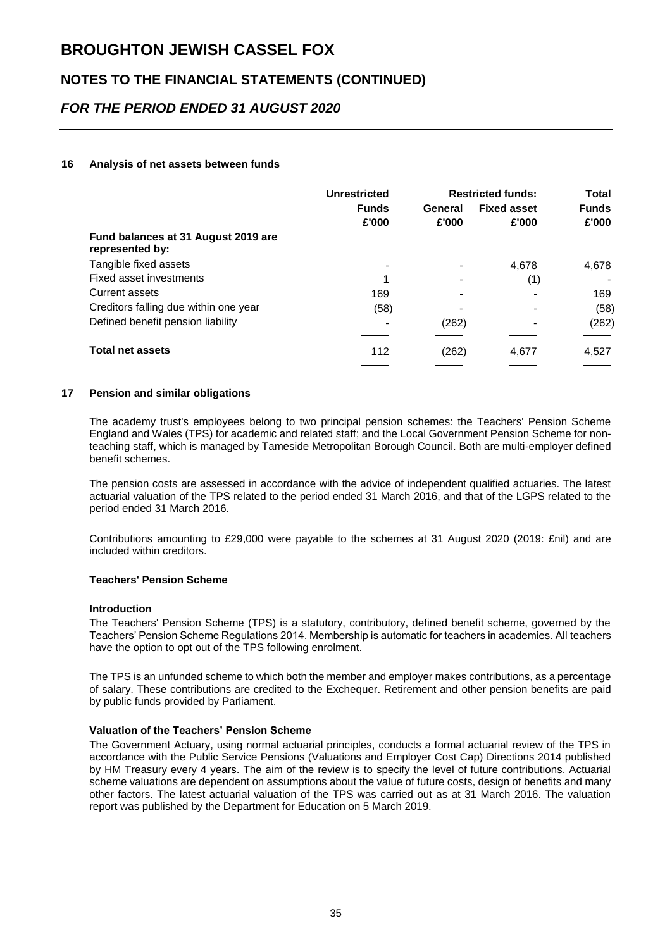## **NOTES TO THE FINANCIAL STATEMENTS (CONTINUED)**

## *FOR THE PERIOD ENDED 31 AUGUST 2020*

#### **16 Analysis of net assets between funds**

|                                                        | <b>Unrestricted</b>   | <b>Restricted funds:</b> |                             | Total                 |
|--------------------------------------------------------|-----------------------|--------------------------|-----------------------------|-----------------------|
|                                                        | <b>Funds</b><br>£'000 | General<br>£'000         | <b>Fixed asset</b><br>£'000 | <b>Funds</b><br>£'000 |
| Fund balances at 31 August 2019 are<br>represented by: |                       |                          |                             |                       |
| Tangible fixed assets                                  |                       |                          | 4,678                       | 4,678                 |
| Fixed asset investments                                | 1                     |                          | (1)                         |                       |
| Current assets                                         | 169                   |                          |                             | 169                   |
| Creditors falling due within one year                  | (58)                  |                          |                             | (58)                  |
| Defined benefit pension liability                      |                       | (262)                    | $\overline{\phantom{0}}$    | (262)                 |
| <b>Total net assets</b>                                | 112                   | (262)                    | 4.677                       | 4,527                 |

#### **17 Pension and similar obligations**

The academy trust's employees belong to two principal pension schemes: the Teachers' Pension Scheme England and Wales (TPS) for academic and related staff; and the Local Government Pension Scheme for nonteaching staff, which is managed by Tameside Metropolitan Borough Council. Both are multi-employer defined benefit schemes.

The pension costs are assessed in accordance with the advice of independent qualified actuaries. The latest actuarial valuation of the TPS related to the period ended 31 March 2016, and that of the LGPS related to the period ended 31 March 2016.

Contributions amounting to £29,000 were payable to the schemes at 31 August 2020 (2019: £nil) and are included within creditors.

#### **Teachers' Pension Scheme**

#### **Introduction**

The Teachers' Pension Scheme (TPS) is a statutory, contributory, defined benefit scheme, governed by the Teachers' Pension Scheme Regulations 2014. Membership is automatic for teachers in academies. All teachers have the option to opt out of the TPS following enrolment.

The TPS is an unfunded scheme to which both the member and employer makes contributions, as a percentage of salary. These contributions are credited to the Exchequer. Retirement and other pension benefits are paid by public funds provided by Parliament.

#### **Valuation of the Teachers' Pension Scheme**

The Government Actuary, using normal actuarial principles, conducts a formal actuarial review of the TPS in accordance with the Public Service Pensions (Valuations and Employer Cost Cap) Directions 2014 published by HM Treasury every 4 years. The aim of the review is to specify the level of future contributions. Actuarial scheme valuations are dependent on assumptions about the value of future costs, design of benefits and many other factors. The latest actuarial valuation of the TPS was carried out as at 31 March 2016. The valuation report was published by the Department for Education on 5 March 2019.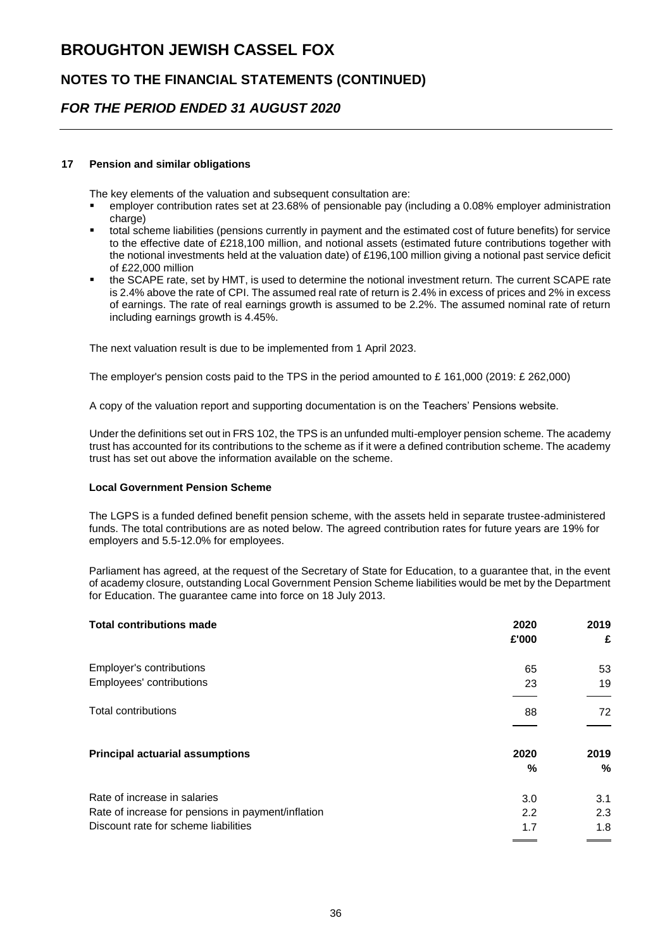## **NOTES TO THE FINANCIAL STATEMENTS (CONTINUED)**

### *FOR THE PERIOD ENDED 31 AUGUST 2020*

#### **17 Pension and similar obligations**

The key elements of the valuation and subsequent consultation are:

- employer contribution rates set at 23.68% of pensionable pay (including a 0.08% employer administration charge)
- total scheme liabilities (pensions currently in payment and the estimated cost of future benefits) for service to the effective date of £218,100 million, and notional assets (estimated future contributions together with the notional investments held at the valuation date) of £196,100 million giving a notional past service deficit of £22,000 million
- the SCAPE rate, set by HMT, is used to determine the notional investment return. The current SCAPE rate is 2.4% above the rate of CPI. The assumed real rate of return is 2.4% in excess of prices and 2% in excess of earnings. The rate of real earnings growth is assumed to be 2.2%. The assumed nominal rate of return including earnings growth is 4.45%.

The next valuation result is due to be implemented from 1 April 2023.

The employer's pension costs paid to the TPS in the period amounted to £ 161,000 (2019: £ 262,000)

A copy of the valuation report and supporting documentation is on the Teachers' Pensions website.

Under the definitions set out in FRS 102, the TPS is an unfunded multi-employer pension scheme. The academy trust has accounted for its contributions to the scheme as if it were a defined contribution scheme. The academy trust has set out above the information available on the scheme.

#### **Local Government Pension Scheme**

The LGPS is a funded defined benefit pension scheme, with the assets held in separate trustee-administered funds. The total contributions are as noted below. The agreed contribution rates for future years are 19% for employers and 5.5-12.0% for employees.

Parliament has agreed, at the request of the Secretary of State for Education, to a guarantee that, in the event of academy closure, outstanding Local Government Pension Scheme liabilities would be met by the Department for Education. The guarantee came into force on 18 July 2013.

| <b>Total contributions made</b>                    | 2020<br>£'000 | 2019<br>£ |
|----------------------------------------------------|---------------|-----------|
| Employer's contributions                           | 65            | 53        |
| Employees' contributions                           | 23            | 19        |
|                                                    |               |           |
| Total contributions                                | 88            | 72        |
|                                                    |               |           |
| <b>Principal actuarial assumptions</b>             | 2020          | 2019      |
|                                                    | %             | %         |
| Rate of increase in salaries                       | 3.0           | 3.1       |
| Rate of increase for pensions in payment/inflation | 2.2           | 2.3       |
| Discount rate for scheme liabilities               | 1.7           | 1.8       |
|                                                    |               |           |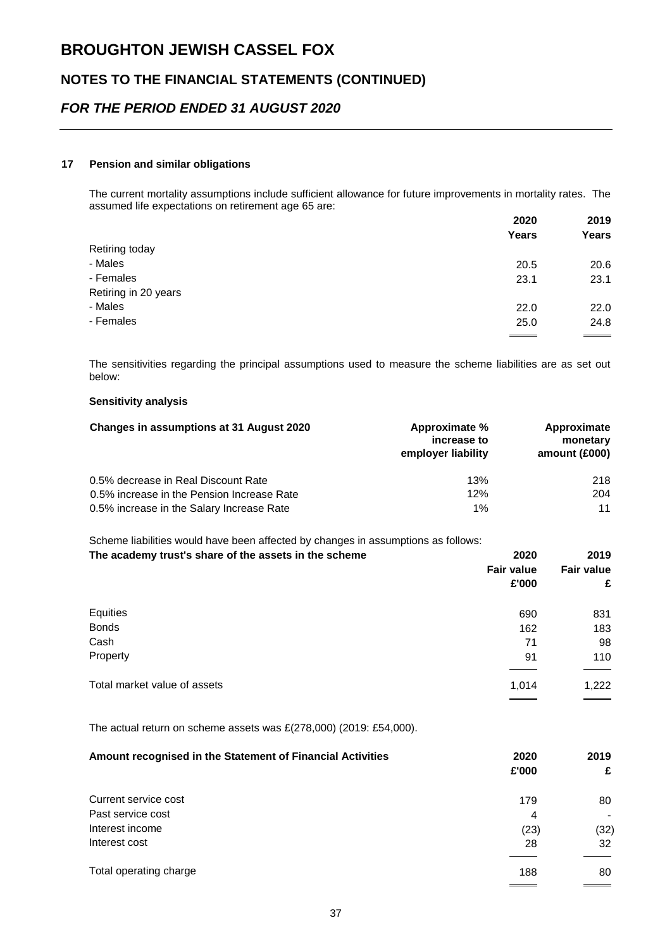## **NOTES TO THE FINANCIAL STATEMENTS (CONTINUED)**

### *FOR THE PERIOD ENDED 31 AUGUST 2020*

#### **17 Pension and similar obligations**

The current mortality assumptions include sufficient allowance for future improvements in mortality rates. The assumed life expectations on retirement age 65 are:

| 2020  | 2019<br>Years |
|-------|---------------|
| Years |               |
|       |               |
| 20.5  | 20.6          |
| 23.1  | 23.1          |
|       |               |
| 22.0  | 22.0          |
| 25.0  | 24.8          |
|       |               |

The sensitivities regarding the principal assumptions used to measure the scheme liabilities are as set out below:

#### **Sensitivity analysis**

| Changes in assumptions at 31 August 2020   | Approximate %<br>increase to<br>employer liability | Approximate<br>monetary<br>amount (£000) |
|--------------------------------------------|----------------------------------------------------|------------------------------------------|
| 0.5% decrease in Real Discount Rate        | 13%                                                | 218                                      |
| 0.5% increase in the Pension Increase Rate | 12%                                                | 204                                      |
| 0.5% increase in the Salary Increase Rate  | $1\%$                                              | 11                                       |

Scheme liabilities would have been affected by changes in assumptions as follows:

| The academy trust's share of the assets in the scheme | 2020              | 2019              |  |
|-------------------------------------------------------|-------------------|-------------------|--|
|                                                       | <b>Fair value</b> | <b>Fair value</b> |  |
|                                                       | £'000             | £                 |  |
| Equities                                              | 690               | 831               |  |
| <b>Bonds</b>                                          | 162               | 183               |  |
| Cash                                                  | 71                | 98                |  |
| Property                                              | 91                | 110               |  |
| Total market value of assets                          | 1,014             | 1,222             |  |

The actual return on scheme assets was £(278,000) (2019: £54,000).

| Amount recognised in the Statement of Financial Activities | 2020<br>£'000 | 2019<br>£ |
|------------------------------------------------------------|---------------|-----------|
| Current service cost                                       | 179           | 80        |
| Past service cost                                          | 4             |           |
| Interest income                                            | (23)          | (32)      |
| Interest cost                                              | 28            | 32        |
| Total operating charge                                     | 188           | 80        |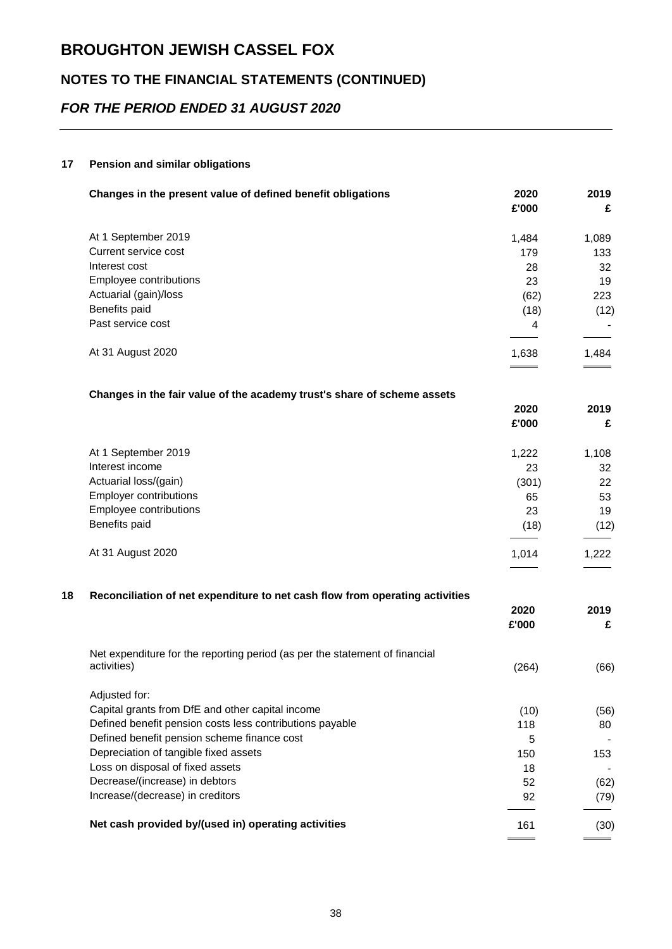## **NOTES TO THE FINANCIAL STATEMENTS (CONTINUED)**

## *FOR THE PERIOD ENDED 31 AUGUST 2020*

#### **17 Pension and similar obligations**

| Changes in the present value of defined benefit obligations                  | 2020<br>£'000 | 2019<br>£ |
|------------------------------------------------------------------------------|---------------|-----------|
| At 1 September 2019                                                          | 1,484         | 1,089     |
| Current service cost                                                         | 179           | 133       |
| Interest cost                                                                | 28            | 32        |
| Employee contributions                                                       | 23            | 19        |
| Actuarial (gain)/loss                                                        | (62)          | 223       |
| Benefits paid                                                                | (18)          | (12)      |
| Past service cost                                                            | 4             |           |
| At 31 August 2020                                                            | 1,638         | 1,484     |
| Changes in the fair value of the academy trust's share of scheme assets      |               |           |
|                                                                              | 2020<br>£'000 | 2019<br>£ |
| At 1 September 2019                                                          | 1,222         | 1,108     |
| Interest income                                                              | 23            | 32        |
| Actuarial loss/(gain)                                                        | (301)         | 22        |
| <b>Employer contributions</b>                                                | 65            | 53        |
| Employee contributions                                                       | 23            | 19        |
| Benefits paid                                                                | (18)          | (12)      |
| At 31 August 2020                                                            | 1,014         | 1,222     |
| Reconciliation of net expenditure to net cash flow from operating activities |               |           |
|                                                                              | 2020<br>£'000 | 2019<br>£ |
| Net expenditure for the reporting period (as per the statement of financial  |               |           |
| activities)                                                                  | (264)         | (66)      |
| Adjusted for:                                                                |               |           |
| Capital grants from DfE and other capital income                             | (10)          | (56)      |
| Defined benefit pension costs less contributions payable                     | 118           | 80        |
| Defined benefit pension scheme finance cost                                  | 5             |           |
| Depreciation of tangible fixed assets                                        | 150           | 153       |
| Loss on disposal of fixed assets                                             | 18            |           |
| Decrease/(increase) in debtors                                               | 52            | (62)      |
| Increase/(decrease) in creditors                                             | 92            | (79)      |
| Net cash provided by/(used in) operating activities                          | 161           | (30)      |